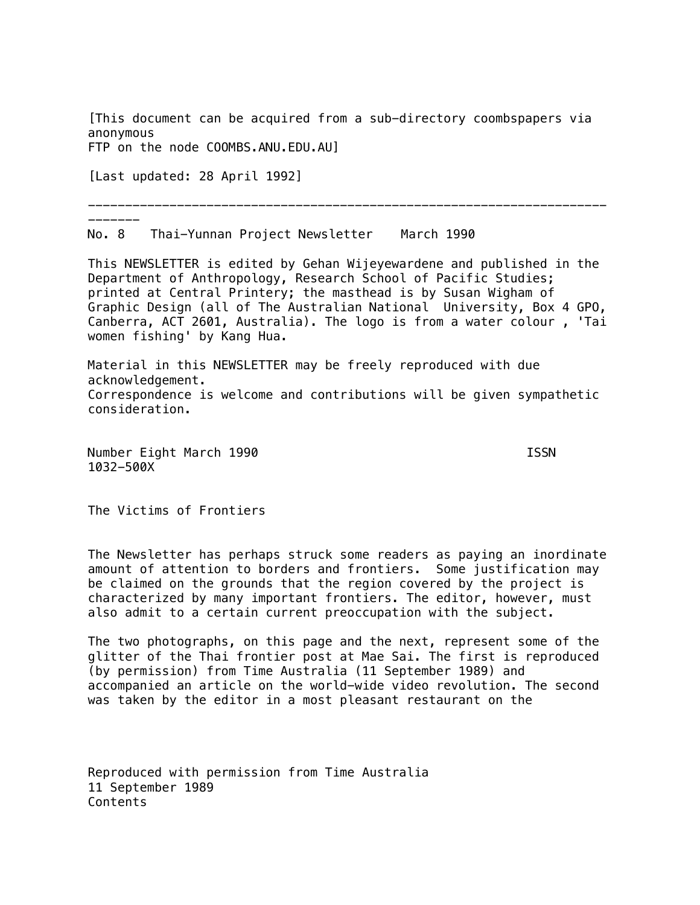[This document can be acquired from a sub-directory coombspapers via anonymous FTP on the node COOMBS.ANU.EDU.AU]

[Last updated: 28 April 1992]

-------

----------------------------------------------------------------------

No. 8 Thai-Yunnan Project Newsletter March 1990

This NEWSLETTER is edited by Gehan Wijeyewardene and published in the Department of Anthropology, Research School of Pacific Studies; printed at Central Printery; the masthead is by Susan Wigham of Graphic Design (all of The Australian National University, Box 4 GPO, Canberra, ACT 2601, Australia). The logo is from a water colour , 'Tai women fishing' by Kang Hua.

Material in this NEWSLETTER may be freely reproduced with due acknowledgement. Correspondence is welcome and contributions will be given sympathetic consideration.

Number Eight March 1990 **ISSN** 1032-500X

The Victims of Frontiers

The Newsletter has perhaps struck some readers as paying an inordinate amount of attention to borders and frontiers. Some justification may be claimed on the grounds that the region covered by the project is characterized by many important frontiers. The editor, however, must also admit to a certain current preoccupation with the subject.

The two photographs, on this page and the next, represent some of the glitter of the Thai frontier post at Mae Sai. The first is reproduced (by permission) from Time Australia (11 September 1989) and accompanied an article on the world-wide video revolution. The second was taken by the editor in a most pleasant restaurant on the

Reproduced with permission from Time Australia 11 September 1989 Contents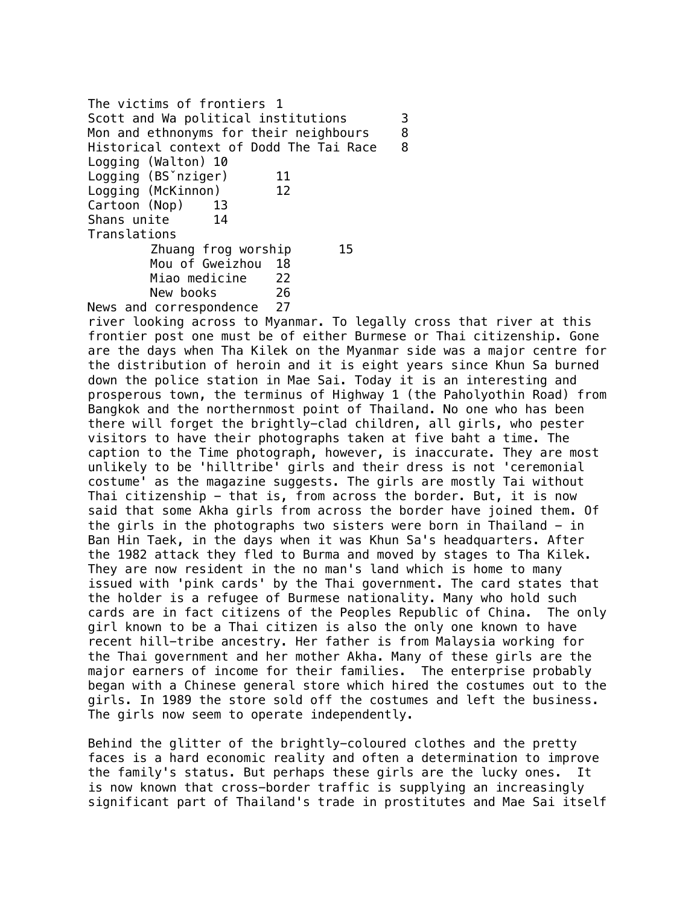The victims of frontiers 1 Scott and Wa political institutions 3 Mon and ethnonyms for their neighbours 8 Historical context of Dodd The Tai Race 8 Logging (Walton) 10 Logging (BS<sup>o</sup>nziger) 11 Logging (McKinnon) 12 Cartoon (Nop) 13 Shans unite 14 Translations Zhuang frog worship 15 Mou of Gweizhou 18 Miao medicine 22 New books 26 News and correspondence 27

river looking across to Myanmar. To legally cross that river at this frontier post one must be of either Burmese or Thai citizenship. Gone are the days when Tha Kilek on the Myanmar side was a major centre for the distribution of heroin and it is eight years since Khun Sa burned down the police station in Mae Sai. Today it is an interesting and prosperous town, the terminus of Highway 1 (the Paholyothin Road) from Bangkok and the northernmost point of Thailand. No one who has been there will forget the brightly-clad children, all girls, who pester visitors to have their photographs taken at five baht a time. The caption to the Time photograph, however, is inaccurate. They are most unlikely to be 'hilltribe' girls and their dress is not 'ceremonial costume' as the magazine suggests. The girls are mostly Tai without Thai citizenship - that is, from across the border. But, it is now said that some Akha girls from across the border have joined them. Of the girls in the photographs two sisters were born in Thailand  $-$  in Ban Hin Taek, in the days when it was Khun Sa's headquarters. After the 1982 attack they fled to Burma and moved by stages to Tha Kilek. They are now resident in the no man's land which is home to many issued with 'pink cards' by the Thai government. The card states that the holder is a refugee of Burmese nationality. Many who hold such cards are in fact citizens of the Peoples Republic of China. The only girl known to be a Thai citizen is also the only one known to have recent hill-tribe ancestry. Her father is from Malaysia working for the Thai government and her mother Akha. Many of these girls are the major earners of income for their families. The enterprise probably began with a Chinese general store which hired the costumes out to the girls. In 1989 the store sold off the costumes and left the business. The girls now seem to operate independently.

Behind the glitter of the brightly-coloured clothes and the pretty faces is a hard economic reality and often a determination to improve the family's status. But perhaps these girls are the lucky ones. It is now known that cross-border traffic is supplying an increasingly significant part of Thailand's trade in prostitutes and Mae Sai itself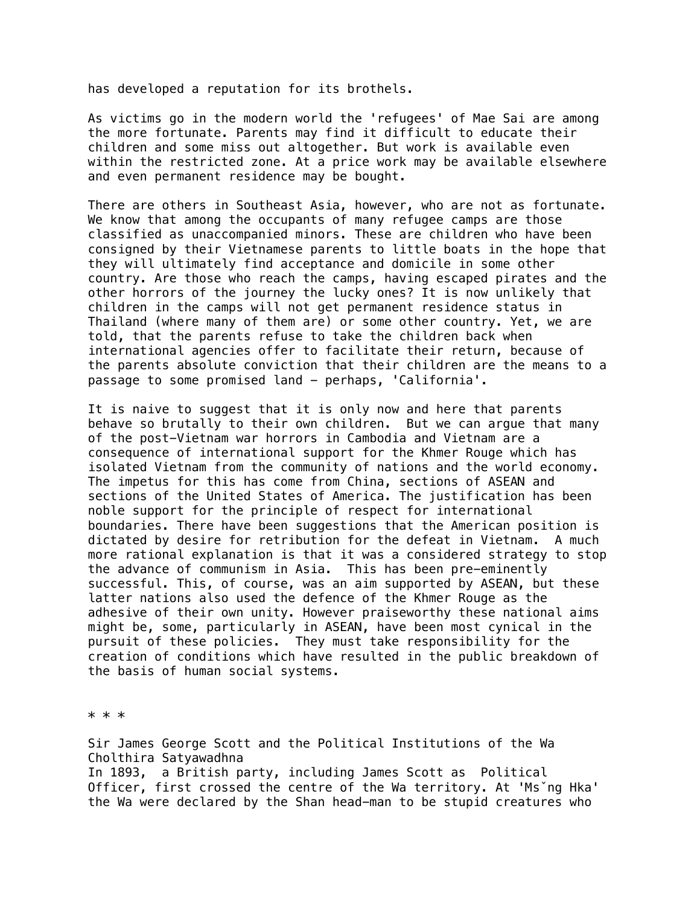has developed a reputation for its brothels.

As victims go in the modern world the 'refugees' of Mae Sai are among the more fortunate. Parents may find it difficult to educate their children and some miss out altogether. But work is available even within the restricted zone. At a price work may be available elsewhere and even permanent residence may be bought.

There are others in Southeast Asia, however, who are not as fortunate. We know that among the occupants of many refugee camps are those classified as unaccompanied minors. These are children who have been consigned by their Vietnamese parents to little boats in the hope that they will ultimately find acceptance and domicile in some other country. Are those who reach the camps, having escaped pirates and the other horrors of the journey the lucky ones? It is now unlikely that children in the camps will not get permanent residence status in Thailand (where many of them are) or some other country. Yet, we are told, that the parents refuse to take the children back when international agencies offer to facilitate their return, because of the parents absolute conviction that their children are the means to a passage to some promised land - perhaps, 'California'.

It is naive to suggest that it is only now and here that parents behave so brutally to their own children. But we can argue that many of the post-Vietnam war horrors in Cambodia and Vietnam are a consequence of international support for the Khmer Rouge which has isolated Vietnam from the community of nations and the world economy. The impetus for this has come from China, sections of ASEAN and sections of the United States of America. The justification has been noble support for the principle of respect for international boundaries. There have been suggestions that the American position is dictated by desire for retribution for the defeat in Vietnam. A much more rational explanation is that it was a considered strategy to stop the advance of communism in Asia. This has been pre-eminently successful. This, of course, was an aim supported by ASEAN, but these latter nations also used the defence of the Khmer Rouge as the adhesive of their own unity. However praiseworthy these national aims might be, some, particularly in ASEAN, have been most cynical in the pursuit of these policies. They must take responsibility for the creation of conditions which have resulted in the public breakdown of the basis of human social systems.

\* \* \*

Sir James George Scott and the Political Institutions of the Wa Cholthira Satyawadhna In 1893, a British party, including James Scott as Political Officer, first crossed the centre of the Wa territory. At 'Msˇng Hka' the Wa were declared by the Shan head-man to be stupid creatures who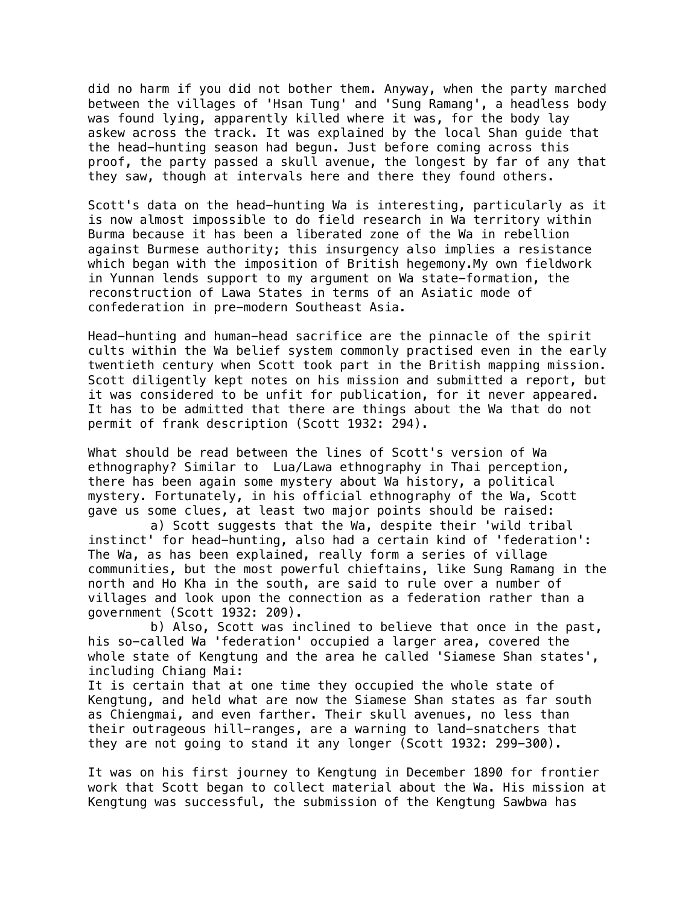did no harm if you did not bother them. Anyway, when the party marched between the villages of 'Hsan Tung' and 'Sung Ramang', a headless body was found lying, apparently killed where it was, for the body lay askew across the track. It was explained by the local Shan guide that the head-hunting season had begun. Just before coming across this proof, the party passed a skull avenue, the longest by far of any that they saw, though at intervals here and there they found others.

Scott's data on the head-hunting Wa is interesting, particularly as it is now almost impossible to do field research in Wa territory within Burma because it has been a liberated zone of the Wa in rebellion against Burmese authority; this insurgency also implies a resistance which began with the imposition of British hegemony.My own fieldwork in Yunnan lends support to my argument on Wa state-formation, the reconstruction of Lawa States in terms of an Asiatic mode of confederation in pre-modern Southeast Asia.

Head-hunting and human-head sacrifice are the pinnacle of the spirit cults within the Wa belief system commonly practised even in the early twentieth century when Scott took part in the British mapping mission. Scott diligently kept notes on his mission and submitted a report, but it was considered to be unfit for publication, for it never appeared. It has to be admitted that there are things about the Wa that do not permit of frank description (Scott 1932: 294).

What should be read between the lines of Scott's version of Wa ethnography? Similar to Lua/Lawa ethnography in Thai perception, there has been again some mystery about Wa history, a political mystery. Fortunately, in his official ethnography of the Wa, Scott gave us some clues, at least two major points should be raised:

a) Scott suggests that the Wa, despite their 'wild tribal instinct' for head-hunting, also had a certain kind of 'federation': The Wa, as has been explained, really form a series of village communities, but the most powerful chieftains, like Sung Ramang in the north and Ho Kha in the south, are said to rule over a number of villages and look upon the connection as a federation rather than a government (Scott 1932: 209).

b) Also, Scott was inclined to believe that once in the past, his so-called Wa 'federation' occupied a larger area, covered the whole state of Kengtung and the area he called 'Siamese Shan states', including Chiang Mai:

It is certain that at one time they occupied the whole state of Kengtung, and held what are now the Siamese Shan states as far south as Chiengmai, and even farther. Their skull avenues, no less than their outrageous hill-ranges, are a warning to land-snatchers that they are not going to stand it any longer (Scott 1932: 299-300).

It was on his first journey to Kengtung in December 1890 for frontier work that Scott began to collect material about the Wa. His mission at Kengtung was successful, the submission of the Kengtung Sawbwa has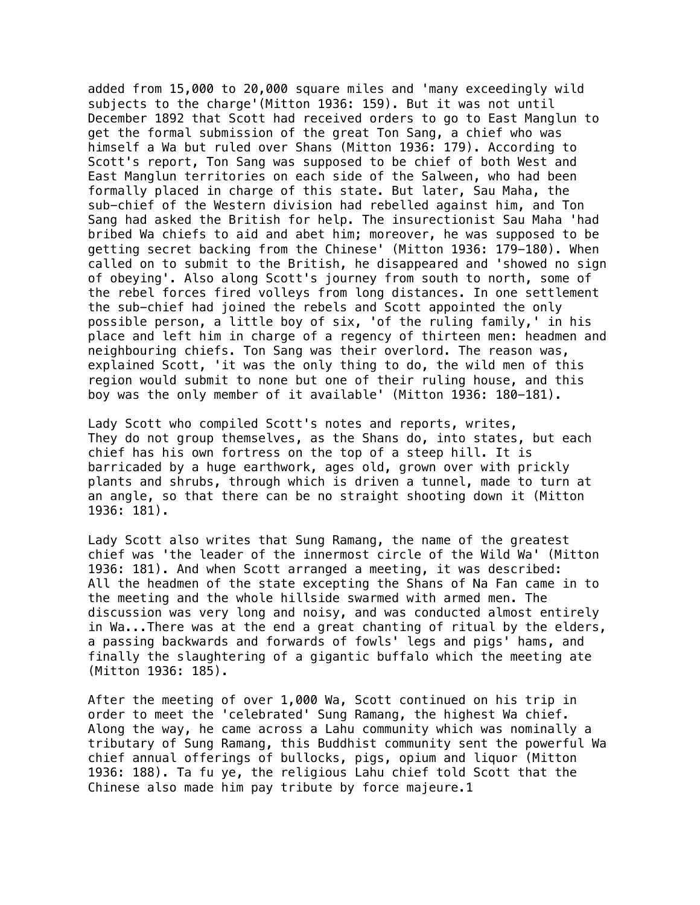added from 15,000 to 20,000 square miles and 'many exceedingly wild subjects to the charge'(Mitton 1936: 159). But it was not until December 1892 that Scott had received orders to go to East Manglun to get the formal submission of the great Ton Sang, a chief who was himself a Wa but ruled over Shans (Mitton 1936: 179). According to Scott's report, Ton Sang was supposed to be chief of both West and East Manglun territories on each side of the Salween, who had been formally placed in charge of this state. But later, Sau Maha, the sub-chief of the Western division had rebelled against him, and Ton Sang had asked the British for help. The insurectionist Sau Maha 'had bribed Wa chiefs to aid and abet him; moreover, he was supposed to be getting secret backing from the Chinese' (Mitton 1936: 179-180). When called on to submit to the British, he disappeared and 'showed no sign of obeying'. Also along Scott's journey from south to north, some of the rebel forces fired volleys from long distances. In one settlement the sub-chief had joined the rebels and Scott appointed the only possible person, a little boy of six, 'of the ruling family,' in his place and left him in charge of a regency of thirteen men: headmen and neighbouring chiefs. Ton Sang was their overlord. The reason was, explained Scott, 'it was the only thing to do, the wild men of this region would submit to none but one of their ruling house, and this boy was the only member of it available' (Mitton 1936: 180-181).

Lady Scott who compiled Scott's notes and reports, writes, They do not group themselves, as the Shans do, into states, but each chief has his own fortress on the top of a steep hill. It is barricaded by a huge earthwork, ages old, grown over with prickly plants and shrubs, through which is driven a tunnel, made to turn at an angle, so that there can be no straight shooting down it (Mitton 1936: 181).

Lady Scott also writes that Sung Ramang, the name of the greatest chief was 'the leader of the innermost circle of the Wild Wa' (Mitton 1936: 181). And when Scott arranged a meeting, it was described: All the headmen of the state excepting the Shans of Na Fan came in to the meeting and the whole hillside swarmed with armed men. The discussion was very long and noisy, and was conducted almost entirely in Wa...There was at the end a great chanting of ritual by the elders, a passing backwards and forwards of fowls' legs and pigs' hams, and finally the slaughtering of a gigantic buffalo which the meeting ate (Mitton 1936: 185).

After the meeting of over 1,000 Wa, Scott continued on his trip in order to meet the 'celebrated' Sung Ramang, the highest Wa chief. Along the way, he came across a Lahu community which was nominally a tributary of Sung Ramang, this Buddhist community sent the powerful Wa chief annual offerings of bullocks, pigs, opium and liquor (Mitton 1936: 188). Ta fu ye, the religious Lahu chief told Scott that the Chinese also made him pay tribute by force majeure.1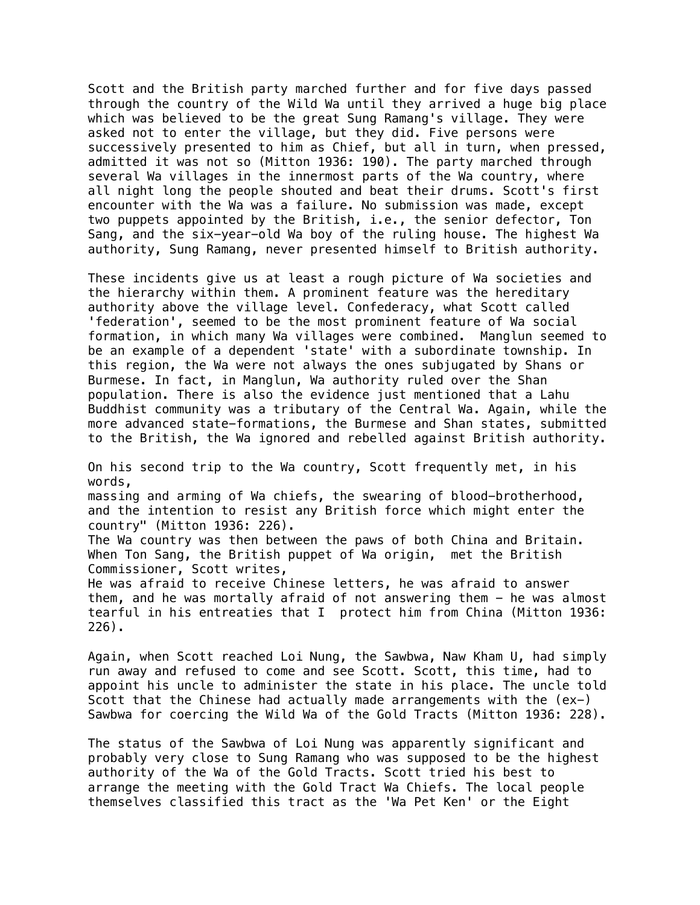Scott and the British party marched further and for five days passed through the country of the Wild Wa until they arrived a huge big place which was believed to be the great Sung Ramang's village. They were asked not to enter the village, but they did. Five persons were successively presented to him as Chief, but all in turn, when pressed, admitted it was not so (Mitton 1936: 190). The party marched through several Wa villages in the innermost parts of the Wa country, where all night long the people shouted and beat their drums. Scott's first encounter with the Wa was a failure. No submission was made, except two puppets appointed by the British, i.e., the senior defector, Ton Sang, and the six-year-old Wa boy of the ruling house. The highest Wa authority, Sung Ramang, never presented himself to British authority.

These incidents give us at least a rough picture of Wa societies and the hierarchy within them. A prominent feature was the hereditary authority above the village level. Confederacy, what Scott called 'federation', seemed to be the most prominent feature of Wa social formation, in which many Wa villages were combined. Manglun seemed to be an example of a dependent 'state' with a subordinate township. In this region, the Wa were not always the ones subjugated by Shans or Burmese. In fact, in Manglun, Wa authority ruled over the Shan population. There is also the evidence just mentioned that a Lahu Buddhist community was a tributary of the Central Wa. Again, while the more advanced state-formations, the Burmese and Shan states, submitted to the British, the Wa ignored and rebelled against British authority.

On his second trip to the Wa country, Scott frequently met, in his words,

massing and arming of Wa chiefs, the swearing of blood-brotherhood, and the intention to resist any British force which might enter the country" (Mitton 1936: 226).

The Wa country was then between the paws of both China and Britain. When Ton Sang, the British puppet of Wa origin, met the British Commissioner, Scott writes,

He was afraid to receive Chinese letters, he was afraid to answer them, and he was mortally afraid of not answering them - he was almost tearful in his entreaties that I protect him from China (Mitton 1936: 226).

Again, when Scott reached Loi Nung, the Sawbwa, Naw Kham U, had simply run away and refused to come and see Scott. Scott, this time, had to appoint his uncle to administer the state in his place. The uncle told Scott that the Chinese had actually made arrangements with the (ex-) Sawbwa for coercing the Wild Wa of the Gold Tracts (Mitton 1936: 228).

The status of the Sawbwa of Loi Nung was apparently significant and probably very close to Sung Ramang who was supposed to be the highest authority of the Wa of the Gold Tracts. Scott tried his best to arrange the meeting with the Gold Tract Wa Chiefs. The local people themselves classified this tract as the 'Wa Pet Ken' or the Eight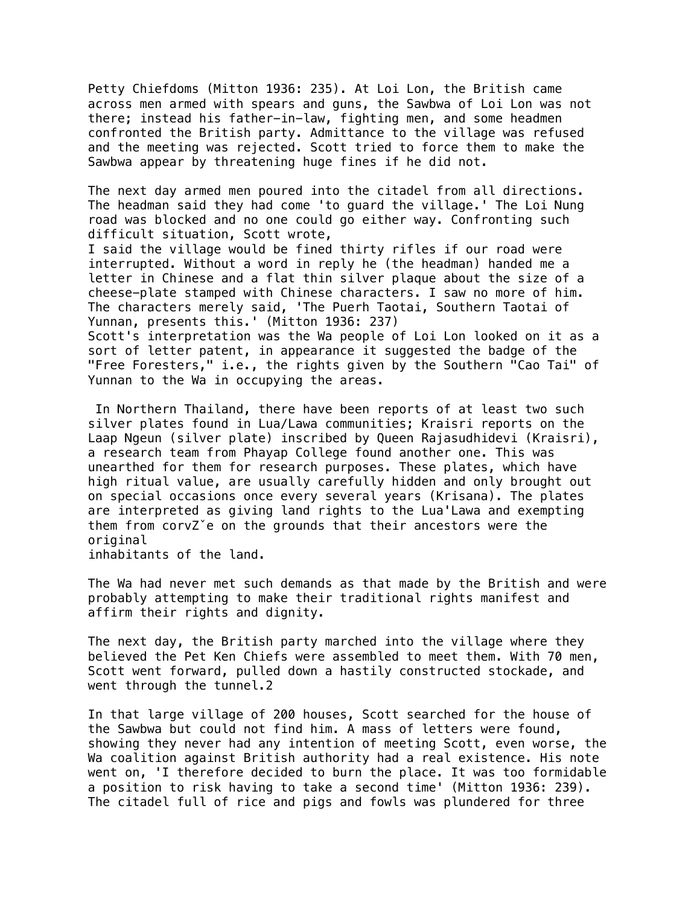Petty Chiefdoms (Mitton 1936: 235). At Loi Lon, the British came across men armed with spears and guns, the Sawbwa of Loi Lon was not there; instead his father-in-law, fighting men, and some headmen confronted the British party. Admittance to the village was refused and the meeting was rejected. Scott tried to force them to make the Sawbwa appear by threatening huge fines if he did not.

The next day armed men poured into the citadel from all directions. The headman said they had come 'to guard the village.' The Loi Nung road was blocked and no one could go either way. Confronting such difficult situation, Scott wrote,

I said the village would be fined thirty rifles if our road were interrupted. Without a word in reply he (the headman) handed me a letter in Chinese and a flat thin silver plaque about the size of a cheese-plate stamped with Chinese characters. I saw no more of him. The characters merely said, 'The Puerh Taotai, Southern Taotai of Yunnan, presents this.' (Mitton 1936: 237) Scott's interpretation was the Wa people of Loi Lon looked on it as a sort of letter patent, in appearance it suggested the badge of the "Free Foresters," i.e., the rights given by the Southern "Cao Tai" of

Yunnan to the Wa in occupying the areas.

 In Northern Thailand, there have been reports of at least two such silver plates found in Lua/Lawa communities; Kraisri reports on the Laap Ngeun (silver plate) inscribed by Queen Rajasudhidevi (Kraisri), a research team from Phayap College found another one. This was unearthed for them for research purposes. These plates, which have high ritual value, are usually carefully hidden and only brought out on special occasions once every several years (Krisana). The plates are interpreted as giving land rights to the Lua'Lawa and exempting them from corvZˇe on the grounds that their ancestors were the original

inhabitants of the land.

The Wa had never met such demands as that made by the British and were probably attempting to make their traditional rights manifest and affirm their rights and dignity.

The next day, the British party marched into the village where they believed the Pet Ken Chiefs were assembled to meet them. With 70 men, Scott went forward, pulled down a hastily constructed stockade, and went through the tunnel.2

In that large village of 200 houses, Scott searched for the house of the Sawbwa but could not find him. A mass of letters were found, showing they never had any intention of meeting Scott, even worse, the Wa coalition against British authority had a real existence. His note went on, 'I therefore decided to burn the place. It was too formidable a position to risk having to take a second time' (Mitton 1936: 239). The citadel full of rice and pigs and fowls was plundered for three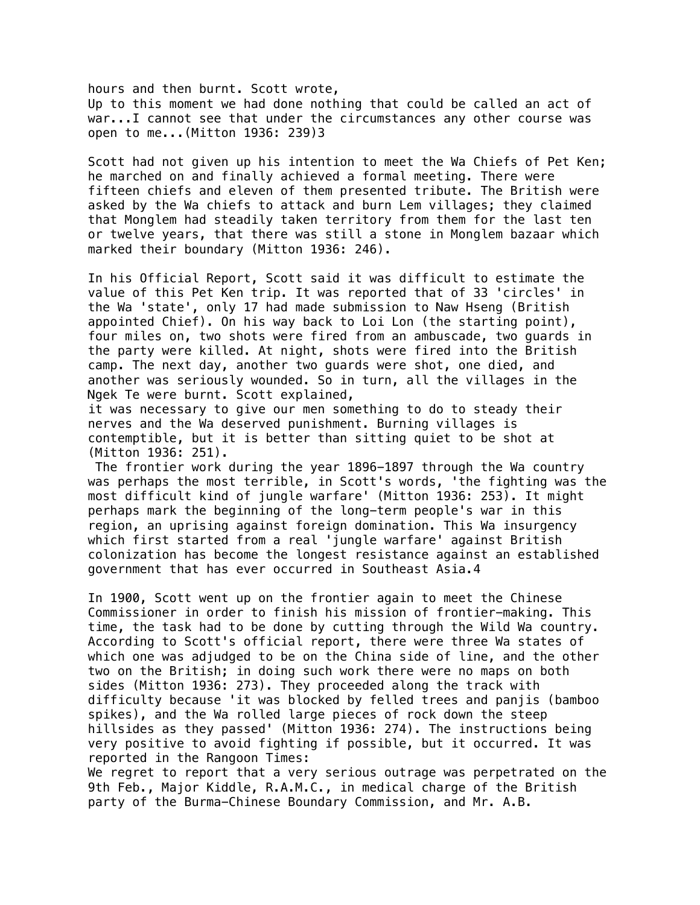hours and then burnt. Scott wrote, Up to this moment we had done nothing that could be called an act of war...I cannot see that under the circumstances any other course was open to me...(Mitton 1936: 239)3

Scott had not given up his intention to meet the Wa Chiefs of Pet Ken; he marched on and finally achieved a formal meeting. There were fifteen chiefs and eleven of them presented tribute. The British were asked by the Wa chiefs to attack and burn Lem villages; they claimed that Monglem had steadily taken territory from them for the last ten or twelve years, that there was still a stone in Monglem bazaar which marked their boundary (Mitton 1936: 246).

In his Official Report, Scott said it was difficult to estimate the value of this Pet Ken trip. It was reported that of 33 'circles' in the Wa 'state', only 17 had made submission to Naw Hseng (British appointed Chief). On his way back to Loi Lon (the starting point), four miles on, two shots were fired from an ambuscade, two guards in the party were killed. At night, shots were fired into the British camp. The next day, another two guards were shot, one died, and another was seriously wounded. So in turn, all the villages in the Ngek Te were burnt. Scott explained,

it was necessary to give our men something to do to steady their nerves and the Wa deserved punishment. Burning villages is contemptible, but it is better than sitting quiet to be shot at (Mitton 1936: 251).

 The frontier work during the year 1896-1897 through the Wa country was perhaps the most terrible, in Scott's words, 'the fighting was the most difficult kind of jungle warfare' (Mitton 1936: 253). It might perhaps mark the beginning of the long-term people's war in this region, an uprising against foreign domination. This Wa insurgency which first started from a real 'jungle warfare' against British colonization has become the longest resistance against an established government that has ever occurred in Southeast Asia.4

In 1900, Scott went up on the frontier again to meet the Chinese Commissioner in order to finish his mission of frontier-making. This time, the task had to be done by cutting through the Wild Wa country. According to Scott's official report, there were three Wa states of which one was adjudged to be on the China side of line, and the other two on the British; in doing such work there were no maps on both sides (Mitton 1936: 273). They proceeded along the track with difficulty because 'it was blocked by felled trees and panjis (bamboo spikes), and the Wa rolled large pieces of rock down the steep hillsides as they passed' (Mitton 1936: 274). The instructions being very positive to avoid fighting if possible, but it occurred. It was reported in the Rangoon Times:

We regret to report that a very serious outrage was perpetrated on the 9th Feb., Major Kiddle, R.A.M.C., in medical charge of the British party of the Burma-Chinese Boundary Commission, and Mr. A.B.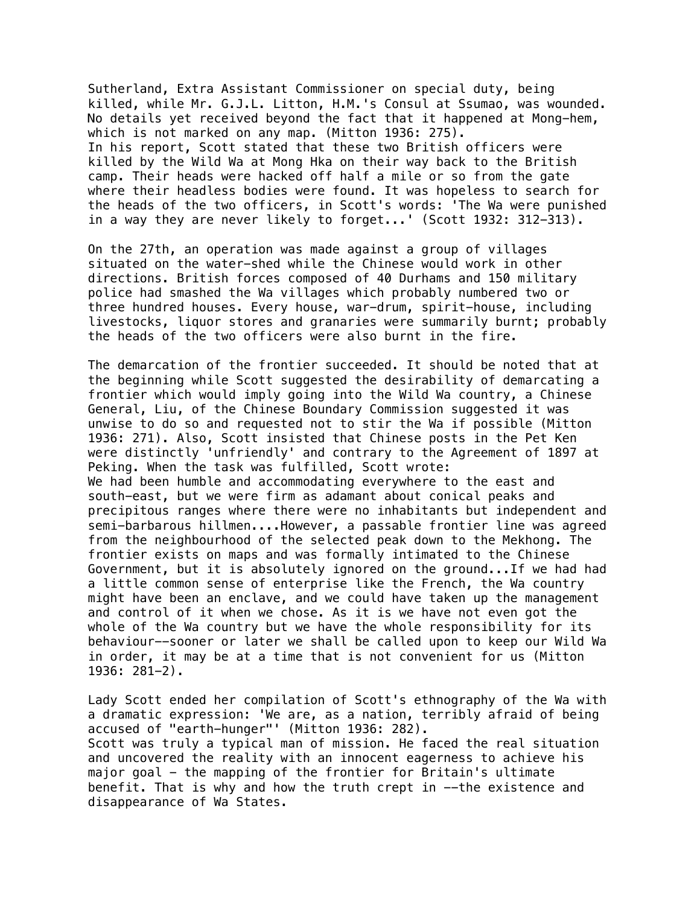Sutherland, Extra Assistant Commissioner on special duty, being killed, while Mr. G.J.L. Litton, H.M.'s Consul at Ssumao, was wounded. No details yet received beyond the fact that it happened at Mong-hem, which is not marked on any map. (Mitton 1936: 275). In his report, Scott stated that these two British officers were killed by the Wild Wa at Mong Hka on their way back to the British camp. Their heads were hacked off half a mile or so from the gate where their headless bodies were found. It was hopeless to search for the heads of the two officers, in Scott's words: 'The Wa were punished in a way they are never likely to forget...' (Scott 1932: 312-313).

On the 27th, an operation was made against a group of villages situated on the water-shed while the Chinese would work in other directions. British forces composed of 40 Durhams and 150 military police had smashed the Wa villages which probably numbered two or three hundred houses. Every house, war-drum, spirit-house, including livestocks, liquor stores and granaries were summarily burnt; probably the heads of the two officers were also burnt in the fire.

The demarcation of the frontier succeeded. It should be noted that at the beginning while Scott suggested the desirability of demarcating a frontier which would imply going into the Wild Wa country, a Chinese General, Liu, of the Chinese Boundary Commission suggested it was unwise to do so and requested not to stir the Wa if possible (Mitton 1936: 271). Also, Scott insisted that Chinese posts in the Pet Ken were distinctly 'unfriendly' and contrary to the Agreement of 1897 at Peking. When the task was fulfilled, Scott wrote: We had been humble and accommodating everywhere to the east and south-east, but we were firm as adamant about conical peaks and precipitous ranges where there were no inhabitants but independent and semi-barbarous hillmen....However, a passable frontier line was agreed from the neighbourhood of the selected peak down to the Mekhong. The frontier exists on maps and was formally intimated to the Chinese Government, but it is absolutely ignored on the ground...If we had had a little common sense of enterprise like the French, the Wa country might have been an enclave, and we could have taken up the management and control of it when we chose. As it is we have not even got the whole of the Wa country but we have the whole responsibility for its behaviour--sooner or later we shall be called upon to keep our Wild Wa in order, it may be at a time that is not convenient for us (Mitton 1936: 281-2).

Lady Scott ended her compilation of Scott's ethnography of the Wa with a dramatic expression: 'We are, as a nation, terribly afraid of being accused of "earth-hunger"' (Mitton 1936: 282). Scott was truly a typical man of mission. He faced the real situation and uncovered the reality with an innocent eagerness to achieve his major goal - the mapping of the frontier for Britain's ultimate benefit. That is why and how the truth crept in --the existence and disappearance of Wa States.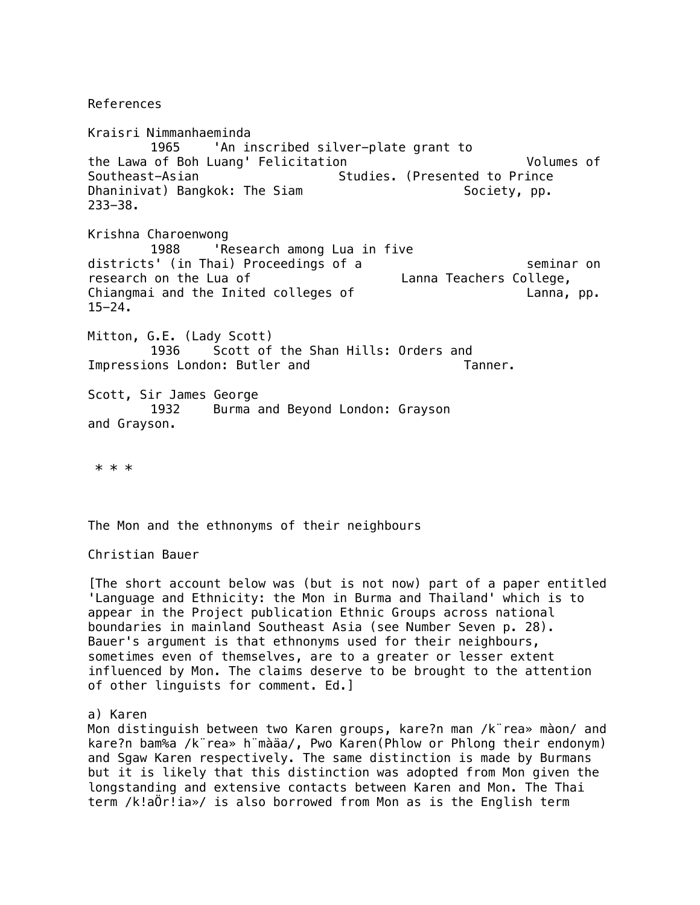References

Kraisri Nimmanhaeminda 1965 'An inscribed silver-plate grant to the Lawa of Boh Luang' Felicitation Volumes of Southeast-Asian Studies. (Presented to Prince Dhaninivat) Bangkok: The Siam Society, pp. 233-38. Krishna Charoenwong 1988 'Research among Lua in five districts' (in Thai) Proceedings of a seminar on research on the Lua of Lanna Teachers College, Chiangmai and the Inited colleges of Theorem Chiangmai and the Inited colleges of 15-24. Mitton, G.E. (Lady Scott) 1936 Scott of the Shan Hills: Orders and Impressions London: Butler and Tanner. Scott, Sir James George 1932 Burma and Beyond London: Grayson and Grayson.

\* \* \*

The Mon and the ethnonyms of their neighbours

Christian Bauer

[The short account below was (but is not now) part of a paper entitled 'Language and Ethnicity: the Mon in Burma and Thailand' which is to appear in the Project publication Ethnic Groups across national boundaries in mainland Southeast Asia (see Number Seven p. 28). Bauer's argument is that ethnonyms used for their neighbours, sometimes even of themselves, are to a greater or lesser extent influenced by Mon. The claims deserve to be brought to the attention of other linguists for comment. Ed.]

a) Karen

Mon distinguish between two Karen groups, kare?n man /k¨rea» màon/ and kare?n bam%a /k¨rea» h¨màäa/, Pwo Karen(Phlow or Phlong their endonym) and Sgaw Karen respectively. The same distinction is made by Burmans but it is likely that this distinction was adopted from Mon given the longstanding and extensive contacts between Karen and Mon. The Thai term /k!aÖr!ia»/ is also borrowed from Mon as is the English term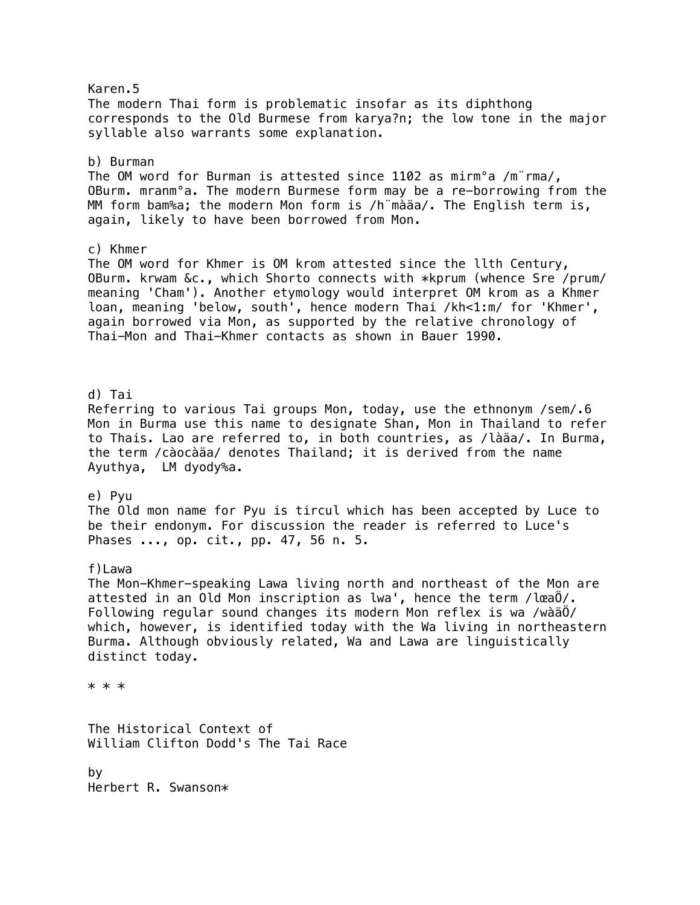Karen.5 The modern Thai form is problematic insofar as its diphthong corresponds to the Old Burmese from karya?n; the low tone in the major syllable also warrants some explanation. b) Burman The OM word for Burman is attested since 1102 as mirm°a /m¨rma/, OBurm. mranm°a. The modern Burmese form may be a re-borrowing from the MM form bam%a; the modern Mon form is /h¨màäa/. The English term is, again, likely to have been borrowed from Mon. c) Khmer The OM word for Khmer is OM krom attested since the llth Century, OBurm. krwam &c., which Shorto connects with \*kprum (whence Sre /prum/ meaning 'Cham'). Another etymology would interpret OM krom as a Khmer loan, meaning 'below, south', hence modern Thai /kh<1:m/ for 'Khmer', again borrowed via Mon, as supported by the relative chronology of Thai-Mon and Thai-Khmer contacts as shown in Bauer 1990. d) Tai Referring to various Tai groups Mon, today, use the ethnonym /sem/.6 Mon in Burma use this name to designate Shan, Mon in Thailand to refer to Thais. Lao are referred to, in both countries, as /làäa/. In Burma, the term /càocàäa/ denotes Thailand; it is derived from the name Ayuthya, LM dyody%a. e) Pyu The Old mon name for Pyu is tircul which has been accepted by Luce to be their endonym. For discussion the reader is referred to Luce's Phases ..., op. cit., pp. 47, 56 n. 5. f)Lawa The Mon-Khmer-speaking Lawa living north and northeast of the Mon are attested in an Old Mon inscription as lwa', hence the term /lœaÖ/. Following regular sound changes its modern Mon reflex is wa /wàäÖ/ which, however, is identified today with the Wa living in northeastern Burma. Although obviously related, Wa and Lawa are linguistically distinct today. \* \* \* The Historical Context of William Clifton Dodd's The Tai Race by Herbert R. Swanson\*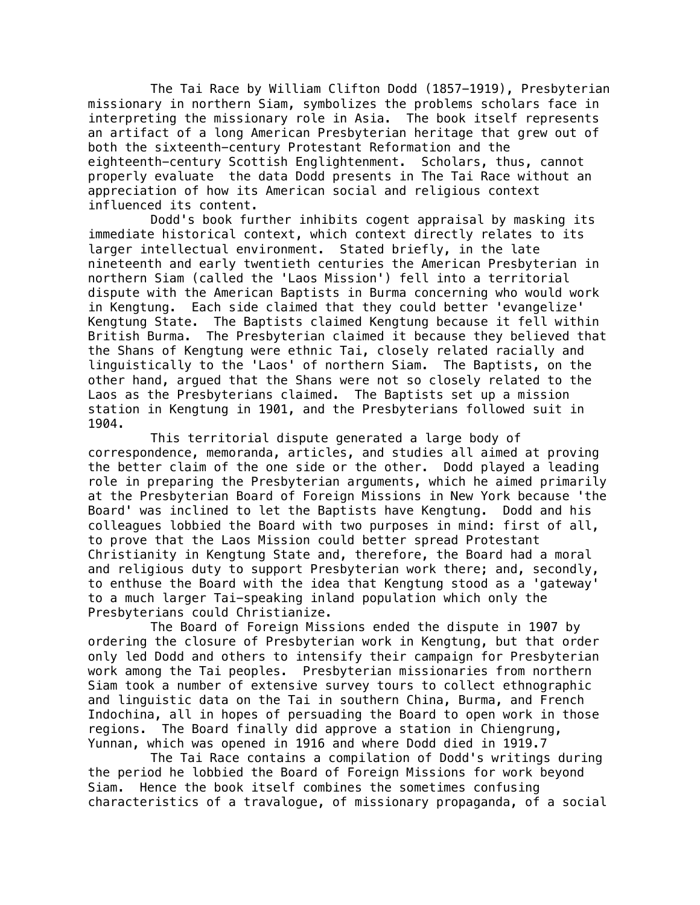The Tai Race by William Clifton Dodd (1857-1919), Presbyterian missionary in northern Siam, symbolizes the problems scholars face in interpreting the missionary role in Asia. The book itself represents an artifact of a long American Presbyterian heritage that grew out of both the sixteenth-century Protestant Reformation and the eighteenth-century Scottish Englightenment. Scholars, thus, cannot properly evaluate the data Dodd presents in The Tai Race without an appreciation of how its American social and religious context influenced its content.

Dodd's book further inhibits cogent appraisal by masking its immediate historical context, which context directly relates to its larger intellectual environment. Stated briefly, in the late nineteenth and early twentieth centuries the American Presbyterian in northern Siam (called the 'Laos Mission') fell into a territorial dispute with the American Baptists in Burma concerning who would work in Kengtung. Each side claimed that they could better 'evangelize' Kengtung State. The Baptists claimed Kengtung because it fell within British Burma. The Presbyterian claimed it because they believed that the Shans of Kengtung were ethnic Tai, closely related racially and linguistically to the 'Laos' of northern Siam. The Baptists, on the other hand, argued that the Shans were not so closely related to the Laos as the Presbyterians claimed. The Baptists set up a mission station in Kengtung in 1901, and the Presbyterians followed suit in 1904.

This territorial dispute generated a large body of correspondence, memoranda, articles, and studies all aimed at proving the better claim of the one side or the other. Dodd played a leading role in preparing the Presbyterian arguments, which he aimed primarily at the Presbyterian Board of Foreign Missions in New York because 'the Board' was inclined to let the Baptists have Kengtung. Dodd and his colleagues lobbied the Board with two purposes in mind: first of all, to prove that the Laos Mission could better spread Protestant Christianity in Kengtung State and, therefore, the Board had a moral and religious duty to support Presbyterian work there; and, secondly, to enthuse the Board with the idea that Kengtung stood as a 'gateway' to a much larger Tai-speaking inland population which only the Presbyterians could Christianize.

The Board of Foreign Missions ended the dispute in 1907 by ordering the closure of Presbyterian work in Kengtung, but that order only led Dodd and others to intensify their campaign for Presbyterian work among the Tai peoples. Presbyterian missionaries from northern Siam took a number of extensive survey tours to collect ethnographic and linguistic data on the Tai in southern China, Burma, and French Indochina, all in hopes of persuading the Board to open work in those regions. The Board finally did approve a station in Chiengrung, Yunnan, which was opened in 1916 and where Dodd died in 1919.7

The Tai Race contains a compilation of Dodd's writings during the period he lobbied the Board of Foreign Missions for work beyond Siam. Hence the book itself combines the sometimes confusing characteristics of a travalogue, of missionary propaganda, of a social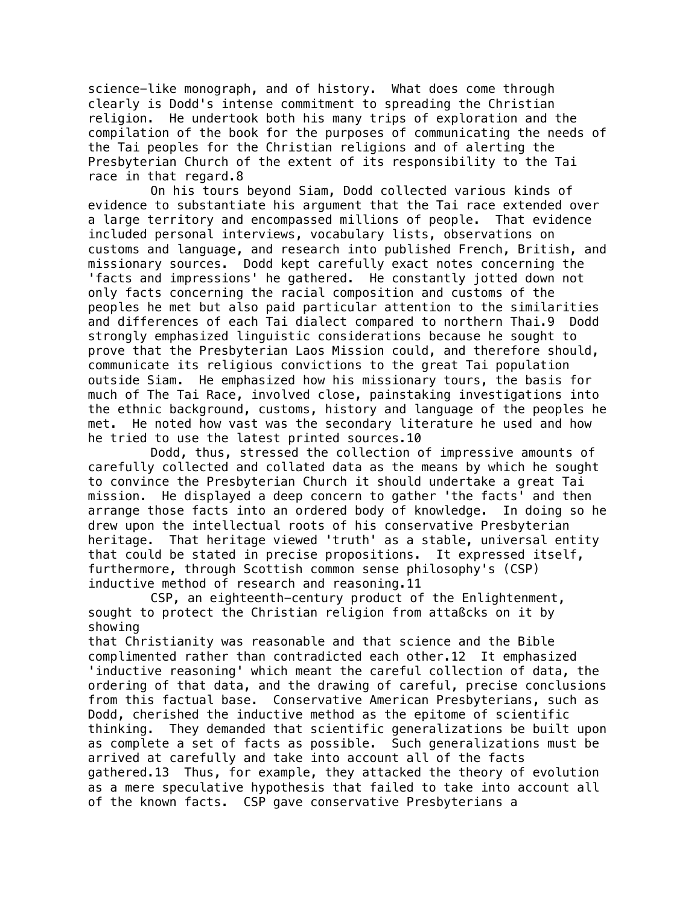science-like monograph, and of history. What does come through clearly is Dodd's intense commitment to spreading the Christian religion. He undertook both his many trips of exploration and the compilation of the book for the purposes of communicating the needs of the Tai peoples for the Christian religions and of alerting the Presbyterian Church of the extent of its responsibility to the Tai race in that regard.8

On his tours beyond Siam, Dodd collected various kinds of evidence to substantiate his argument that the Tai race extended over a large territory and encompassed millions of people. That evidence included personal interviews, vocabulary lists, observations on customs and language, and research into published French, British, and missionary sources. Dodd kept carefully exact notes concerning the 'facts and impressions' he gathered. He constantly jotted down not only facts concerning the racial composition and customs of the peoples he met but also paid particular attention to the similarities and differences of each Tai dialect compared to northern Thai.9 Dodd strongly emphasized linguistic considerations because he sought to prove that the Presbyterian Laos Mission could, and therefore should, communicate its religious convictions to the great Tai population outside Siam. He emphasized how his missionary tours, the basis for much of The Tai Race, involved close, painstaking investigations into the ethnic background, customs, history and language of the peoples he met. He noted how vast was the secondary literature he used and how he tried to use the latest printed sources.10

Dodd, thus, stressed the collection of impressive amounts of carefully collected and collated data as the means by which he sought to convince the Presbyterian Church it should undertake a great Tai mission. He displayed a deep concern to gather 'the facts' and then arrange those facts into an ordered body of knowledge. In doing so he drew upon the intellectual roots of his conservative Presbyterian heritage. That heritage viewed 'truth' as a stable, universal entity that could be stated in precise propositions. It expressed itself, furthermore, through Scottish common sense philosophy's (CSP) inductive method of research and reasoning.11

CSP, an eighteenth-century product of the Enlightenment, sought to protect the Christian religion from attaßcks on it by showing

that Christianity was reasonable and that science and the Bible complimented rather than contradicted each other.12 It emphasized 'inductive reasoning' which meant the careful collection of data, the ordering of that data, and the drawing of careful, precise conclusions from this factual base. Conservative American Presbyterians, such as Dodd, cherished the inductive method as the epitome of scientific thinking. They demanded that scientific generalizations be built upon as complete a set of facts as possible. Such generalizations must be arrived at carefully and take into account all of the facts gathered.13 Thus, for example, they attacked the theory of evolution as a mere speculative hypothesis that failed to take into account all of the known facts. CSP gave conservative Presbyterians a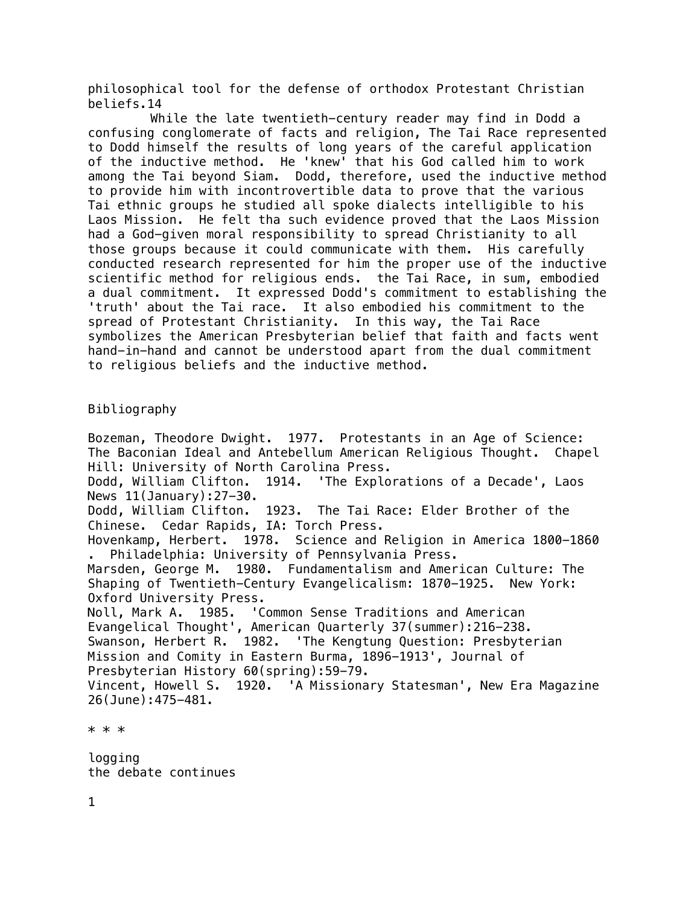philosophical tool for the defense of orthodox Protestant Christian beliefs.14

While the late twentieth-century reader may find in Dodd a confusing conglomerate of facts and religion, The Tai Race represented to Dodd himself the results of long years of the careful application of the inductive method. He 'knew' that his God called him to work among the Tai beyond Siam. Dodd, therefore, used the inductive method to provide him with incontrovertible data to prove that the various Tai ethnic groups he studied all spoke dialects intelligible to his Laos Mission. He felt tha such evidence proved that the Laos Mission had a God-given moral responsibility to spread Christianity to all those groups because it could communicate with them. His carefully conducted research represented for him the proper use of the inductive scientific method for religious ends. the Tai Race, in sum, embodied a dual commitment. It expressed Dodd's commitment to establishing the 'truth' about the Tai race. It also embodied his commitment to the spread of Protestant Christianity. In this way, the Tai Race symbolizes the American Presbyterian belief that faith and facts went hand-in-hand and cannot be understood apart from the dual commitment to religious beliefs and the inductive method.

# Bibliography

Bozeman, Theodore Dwight. 1977. Protestants in an Age of Science: The Baconian Ideal and Antebellum American Religious Thought. Chapel Hill: University of North Carolina Press. Dodd, William Clifton. 1914. 'The Explorations of a Decade', Laos News 11(January):27-30. Dodd, William Clifton. 1923. The Tai Race: Elder Brother of the Chinese. Cedar Rapids, IA: Torch Press. Hovenkamp, Herbert. 1978. Science and Religion in America 1800-1860 . Philadelphia: University of Pennsylvania Press. Marsden, George M. 1980. Fundamentalism and American Culture: The Shaping of Twentieth-Century Evangelicalism: 1870-1925. New York: Oxford University Press. Noll, Mark A. 1985. 'Common Sense Traditions and American Evangelical Thought', American Quarterly 37(summer):216-238. Swanson, Herbert R. 1982. 'The Kengtung Question: Presbyterian Mission and Comity in Eastern Burma, 1896-1913', Journal of Presbyterian History 60(spring):59-79. Vincent, Howell S. 1920. 'A Missionary Statesman', New Era Magazine 26(June):475-481.

\* \* \*

logging the debate continues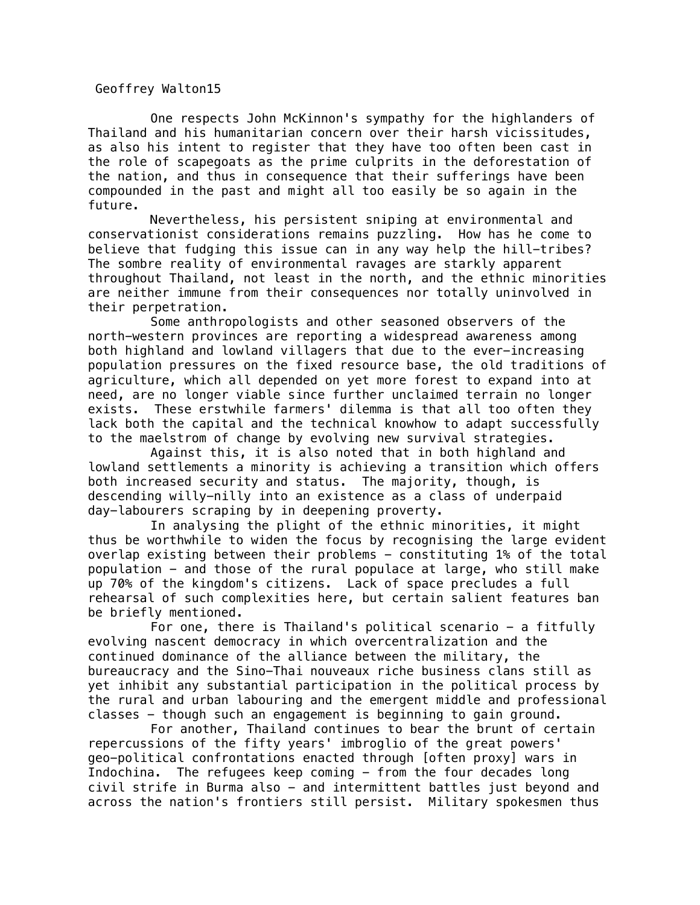Geoffrey Walton15

One respects John McKinnon's sympathy for the highlanders of Thailand and his humanitarian concern over their harsh vicissitudes, as also his intent to register that they have too often been cast in the role of scapegoats as the prime culprits in the deforestation of the nation, and thus in consequence that their sufferings have been compounded in the past and might all too easily be so again in the future.

Nevertheless, his persistent sniping at environmental and conservationist considerations remains puzzling. How has he come to believe that fudging this issue can in any way help the hill-tribes? The sombre reality of environmental ravages are starkly apparent throughout Thailand, not least in the north, and the ethnic minorities are neither immune from their consequences nor totally uninvolved in their perpetration.

Some anthropologists and other seasoned observers of the north-western provinces are reporting a widespread awareness among both highland and lowland villagers that due to the ever-increasing population pressures on the fixed resource base, the old traditions of agriculture, which all depended on yet more forest to expand into at need, are no longer viable since further unclaimed terrain no longer exists. These erstwhile farmers' dilemma is that all too often they lack both the capital and the technical knowhow to adapt successfully to the maelstrom of change by evolving new survival strategies.

Against this, it is also noted that in both highland and lowland settlements a minority is achieving a transition which offers both increased security and status. The majority, though, is descending willy-nilly into an existence as a class of underpaid day-labourers scraping by in deepening proverty.

In analysing the plight of the ethnic minorities, it might thus be worthwhile to widen the focus by recognising the large evident overlap existing between their problems - constituting 1% of the total population - and those of the rural populace at large, who still make up 70% of the kingdom's citizens. Lack of space precludes a full rehearsal of such complexities here, but certain salient features ban be briefly mentioned.

For one, there is Thailand's political scenario - a fitfully evolving nascent democracy in which overcentralization and the continued dominance of the alliance between the military, the bureaucracy and the Sino-Thai nouveaux riche business clans still as yet inhibit any substantial participation in the political process by the rural and urban labouring and the emergent middle and professional classes - though such an engagement is beginning to gain ground.

For another, Thailand continues to bear the brunt of certain repercussions of the fifty years' imbroglio of the great powers' geo-political confrontations enacted through [often proxy] wars in Indochina. The refugees keep coming - from the four decades long civil strife in Burma also - and intermittent battles just beyond and across the nation's frontiers still persist. Military spokesmen thus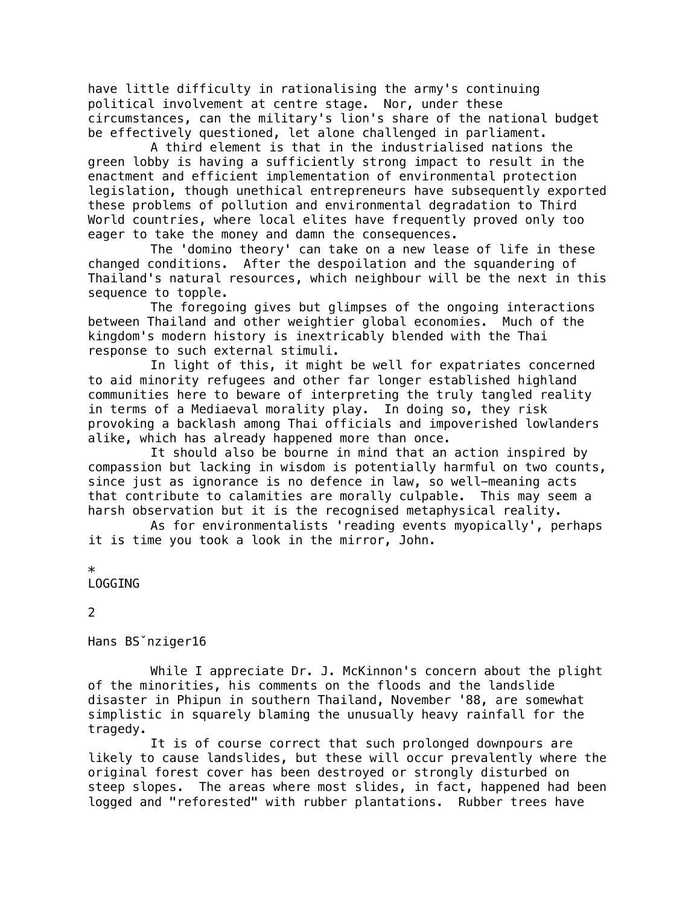have little difficulty in rationalising the army's continuing political involvement at centre stage. Nor, under these circumstances, can the military's lion's share of the national budget be effectively questioned, let alone challenged in parliament.

A third element is that in the industrialised nations the green lobby is having a sufficiently strong impact to result in the enactment and efficient implementation of environmental protection legislation, though unethical entrepreneurs have subsequently exported these problems of pollution and environmental degradation to Third World countries, where local elites have frequently proved only too eager to take the money and damn the consequences.

The 'domino theory' can take on a new lease of life in these changed conditions. After the despoilation and the squandering of Thailand's natural resources, which neighbour will be the next in this sequence to topple.

The foregoing gives but glimpses of the ongoing interactions between Thailand and other weightier global economies. Much of the kingdom's modern history is inextricably blended with the Thai response to such external stimuli.

In light of this, it might be well for expatriates concerned to aid minority refugees and other far longer established highland communities here to beware of interpreting the truly tangled reality in terms of a Mediaeval morality play. In doing so, they risk provoking a backlash among Thai officials and impoverished lowlanders alike, which has already happened more than once.

It should also be bourne in mind that an action inspired by compassion but lacking in wisdom is potentially harmful on two counts, since just as ignorance is no defence in law, so well-meaning acts that contribute to calamities are morally culpable. This may seem a harsh observation but it is the recognised metaphysical reality.

As for environmentalists 'reading events myopically', perhaps it is time you took a look in the mirror, John.

# \*

LOGGING

# 2

Hans BSˇnziger16

While I appreciate Dr. J. McKinnon's concern about the plight of the minorities, his comments on the floods and the landslide disaster in Phipun in southern Thailand, November '88, are somewhat simplistic in squarely blaming the unusually heavy rainfall for the tragedy.

It is of course correct that such prolonged downpours are likely to cause landslides, but these will occur prevalently where the original forest cover has been destroyed or strongly disturbed on steep slopes. The areas where most slides, in fact, happened had been logged and "reforested" with rubber plantations. Rubber trees have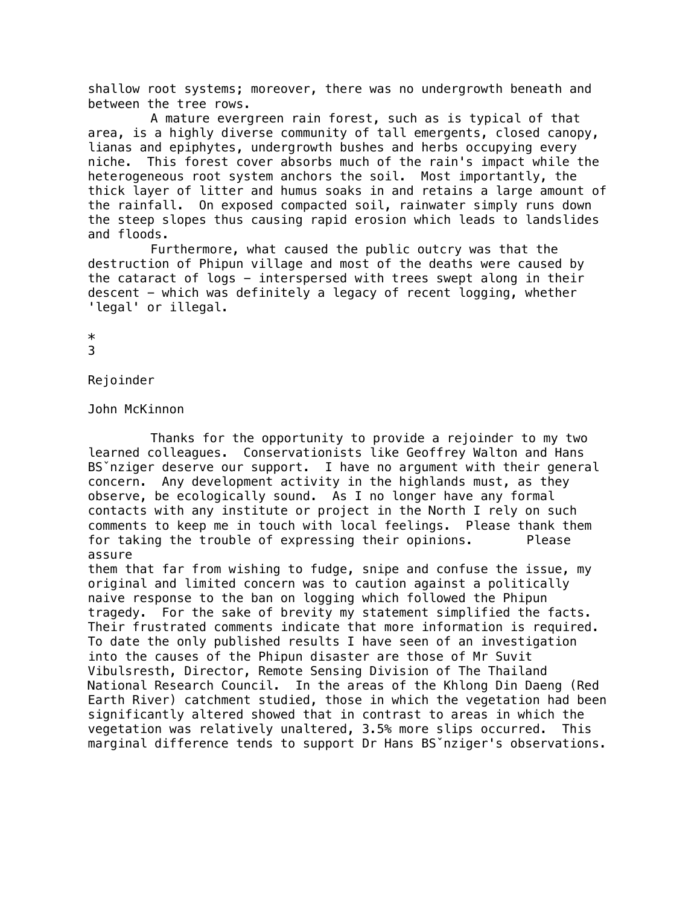shallow root systems; moreover, there was no undergrowth beneath and between the tree rows.

A mature evergreen rain forest, such as is typical of that area, is a highly diverse community of tall emergents, closed canopy, lianas and epiphytes, undergrowth bushes and herbs occupying every niche. This forest cover absorbs much of the rain's impact while the heterogeneous root system anchors the soil. Most importantly, the thick layer of litter and humus soaks in and retains a large amount of the rainfall. On exposed compacted soil, rainwater simply runs down the steep slopes thus causing rapid erosion which leads to landslides and floods.

Furthermore, what caused the public outcry was that the destruction of Phipun village and most of the deaths were caused by the cataract of logs - interspersed with trees swept along in their descent - which was definitely a legacy of recent logging, whether 'legal' or illegal.

\*

3

Rejoinder

John McKinnon

Thanks for the opportunity to provide a rejoinder to my two learned colleagues. Conservationists like Geoffrey Walton and Hans BSˇnziger deserve our support. I have no argument with their general concern. Any development activity in the highlands must, as they observe, be ecologically sound. As I no longer have any formal contacts with any institute or project in the North I rely on such comments to keep me in touch with local feelings. Please thank them for taking the trouble of expressing their opinions. Please assure

them that far from wishing to fudge, snipe and confuse the issue, my original and limited concern was to caution against a politically naive response to the ban on logging which followed the Phipun tragedy. For the sake of brevity my statement simplified the facts. Their frustrated comments indicate that more information is required. To date the only published results I have seen of an investigation into the causes of the Phipun disaster are those of Mr Suvit Vibulsresth, Director, Remote Sensing Division of The Thailand National Research Council. In the areas of the Khlong Din Daeng (Red Earth River) catchment studied, those in which the vegetation had been significantly altered showed that in contrast to areas in which the vegetation was relatively unaltered, 3.5% more slips occurred. This marginal difference tends to support Dr Hans BSˇnziger's observations.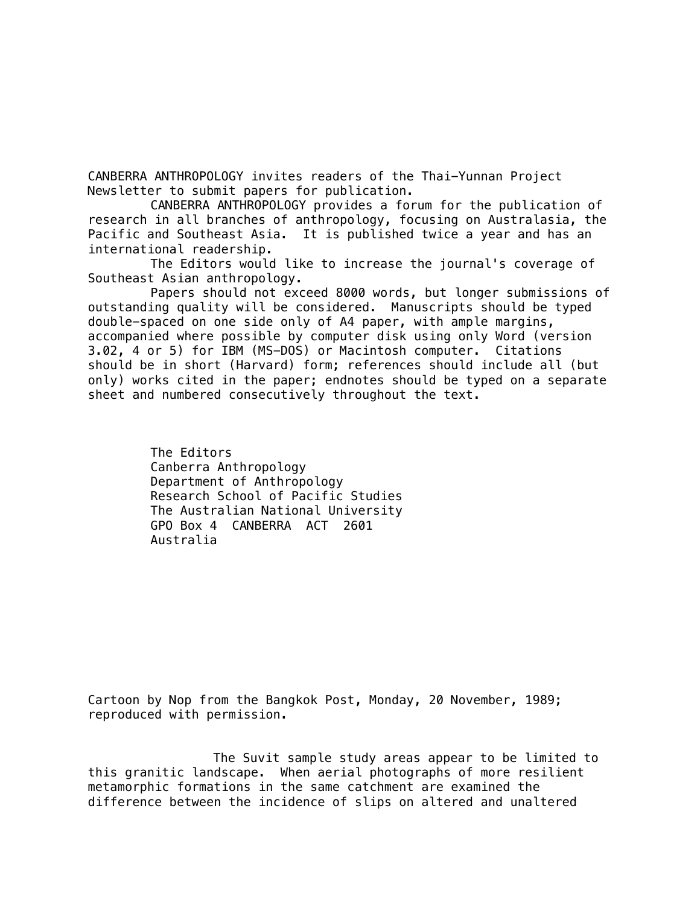CANBERRA ANTHROPOLOGY invites readers of the Thai-Yunnan Project Newsletter to submit papers for publication.

CANBERRA ANTHROPOLOGY provides a forum for the publication of research in all branches of anthropology, focusing on Australasia, the Pacific and Southeast Asia. It is published twice a year and has an international readership.

The Editors would like to increase the journal's coverage of Southeast Asian anthropology.

Papers should not exceed 8000 words, but longer submissions of outstanding quality will be considered. Manuscripts should be typed double-spaced on one side only of A4 paper, with ample margins, accompanied where possible by computer disk using only Word (version 3.02, 4 or 5) for IBM (MS-DOS) or Macintosh computer. Citations should be in short (Harvard) form; references should include all (but only) works cited in the paper; endnotes should be typed on a separate sheet and numbered consecutively throughout the text.

> The Editors Canberra Anthropology Department of Anthropology Research School of Pacific Studies The Australian National University GPO Box 4 CANBERRA ACT 2601 Australia

Cartoon by Nop from the Bangkok Post, Monday, 20 November, 1989; reproduced with permission.

The Suvit sample study areas appear to be limited to this granitic landscape. When aerial photographs of more resilient metamorphic formations in the same catchment are examined the difference between the incidence of slips on altered and unaltered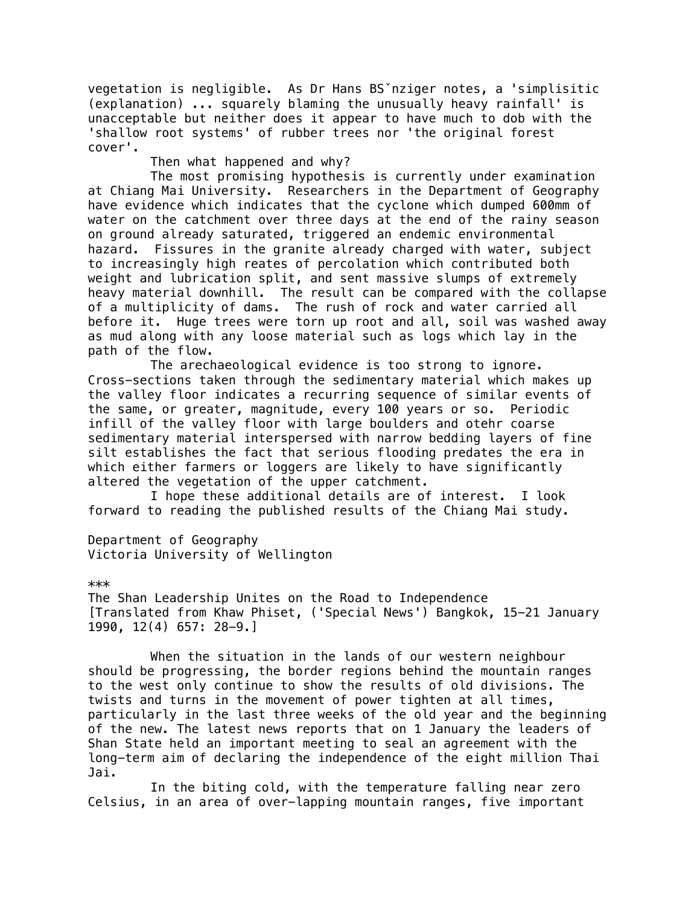vegetation is negligible. As Dr Hans BSˇnziger notes, a 'simplisitic (explanation) ... squarely blaming the unusually heavy rainfall' is unacceptable but neither does it appear to have much to dob with the 'shallow root systems' of rubber trees nor 'the original forest cover'.

Then what happened and why?

The most promising hypothesis is currently under examination at Chiang Mai University. Researchers in the Department of Geography have evidence which indicates that the cyclone which dumped 600mm of water on the catchment over three days at the end of the rainy season on ground already saturated, triggered an endemic environmental hazard. Fissures in the granite already charged with water, subject to increasingly high reates of percolation which contributed both weight and lubrication split, and sent massive slumps of extremely heavy material downhill. The result can be compared with the collapse of a multiplicity of dams. The rush of rock and water carried all before it. Huge trees were torn up root and all, soil was washed away as mud along with any loose material such as logs which lay in the path of the flow.

The arechaeological evidence is too strong to ignore. Cross-sections taken through the sedimentary material which makes up the valley floor indicates a recurring sequence of similar events of the same, or greater, magnitude, every 100 years or so. Periodic infill of the valley floor with large boulders and otehr coarse sedimentary material interspersed with narrow bedding layers of fine silt establishes the fact that serious flooding predates the era in which either farmers or loggers are likely to have significantly altered the vegetation of the upper catchment.

I hope these additional details are of interest. I look forward to reading the published results of the Chiang Mai study.

Department of Geography Victoria University of Wellington

\*\*\*

The Shan Leadership Unites on the Road to Independence [Translated from Khaw Phiset, ('Special News') Bangkok, 15-21 January 1990, 12(4) 657: 28-9.]

When the situation in the lands of our western neighbour should be progressing, the border regions behind the mountain ranges to the west only continue to show the results of old divisions. The twists and turns in the movement of power tighten at all times, particularly in the last three weeks of the old year and the beginning of the new. The latest news reports that on 1 January the leaders of Shan State held an important meeting to seal an agreement with the long-term aim of declaring the independence of the eight million Thai Jai.

In the biting cold, with the temperature falling near zero Celsius, in an area of over-lapping mountain ranges, five important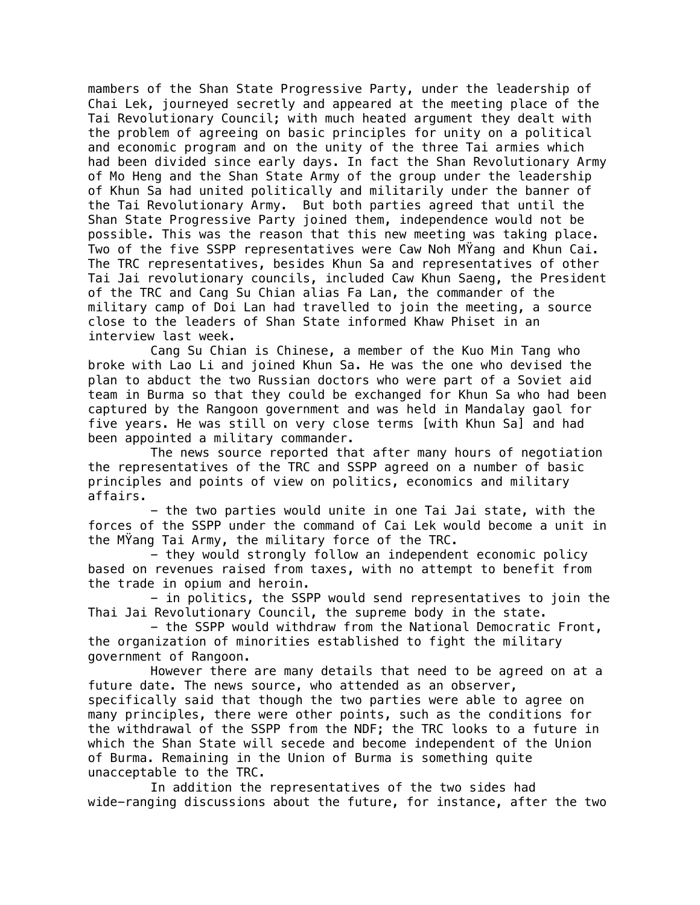mambers of the Shan State Progressive Party, under the leadership of Chai Lek, journeyed secretly and appeared at the meeting place of the Tai Revolutionary Council; with much heated argument they dealt with the problem of agreeing on basic principles for unity on a political and economic program and on the unity of the three Tai armies which had been divided since early days. In fact the Shan Revolutionary Army of Mo Heng and the Shan State Army of the group under the leadership of Khun Sa had united politically and militarily under the banner of the Tai Revolutionary Army. But both parties agreed that until the Shan State Progressive Party joined them, independence would not be possible. This was the reason that this new meeting was taking place. Two of the five SSPP representatives were Caw Noh MŸang and Khun Cai. The TRC representatives, besides Khun Sa and representatives of other Tai Jai revolutionary councils, included Caw Khun Saeng, the President of the TRC and Cang Su Chian alias Fa Lan, the commander of the military camp of Doi Lan had travelled to join the meeting, a source close to the leaders of Shan State informed Khaw Phiset in an interview last week.

Cang Su Chian is Chinese, a member of the Kuo Min Tang who broke with Lao Li and joined Khun Sa. He was the one who devised the plan to abduct the two Russian doctors who were part of a Soviet aid team in Burma so that they could be exchanged for Khun Sa who had been captured by the Rangoon government and was held in Mandalay gaol for five years. He was still on very close terms [with Khun Sa] and had been appointed a military commander.

The news source reported that after many hours of negotiation the representatives of the TRC and SSPP agreed on a number of basic principles and points of view on politics, economics and military affairs.

- the two parties would unite in one Tai Jai state, with the forces of the SSPP under the command of Cai Lek would become a unit in the MŸang Tai Army, the military force of the TRC.

- they would strongly follow an independent economic policy based on revenues raised from taxes, with no attempt to benefit from the trade in opium and heroin.

- in politics, the SSPP would send representatives to join the Thai Jai Revolutionary Council, the supreme body in the state.

- the SSPP would withdraw from the National Democratic Front, the organization of minorities established to fight the military government of Rangoon.

However there are many details that need to be agreed on at a future date. The news source, who attended as an observer, specifically said that though the two parties were able to agree on many principles, there were other points, such as the conditions for the withdrawal of the SSPP from the NDF; the TRC looks to a future in which the Shan State will secede and become independent of the Union of Burma. Remaining in the Union of Burma is something quite unacceptable to the TRC.

In addition the representatives of the two sides had wide-ranging discussions about the future, for instance, after the two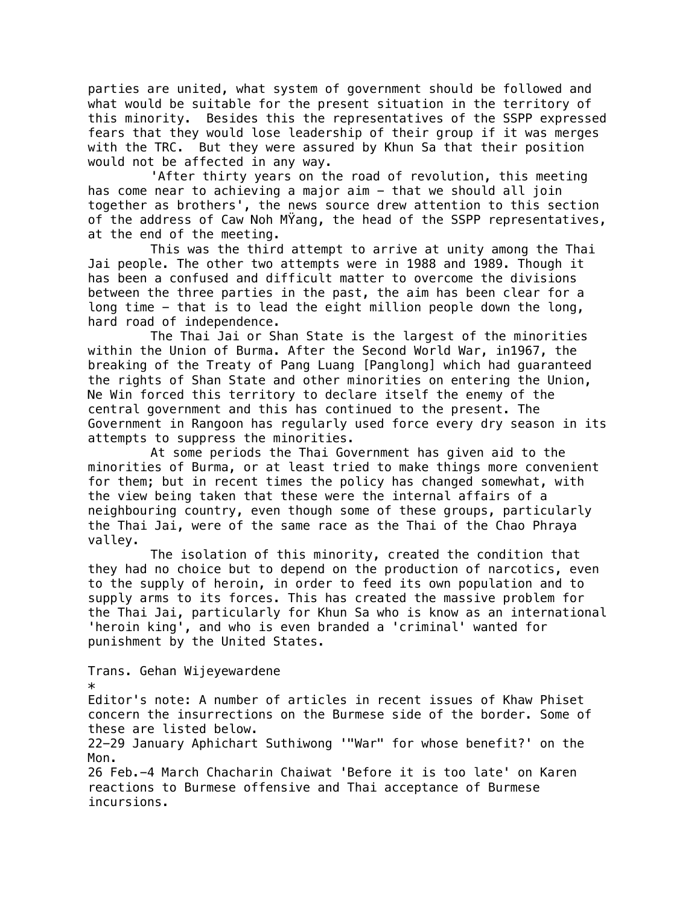parties are united, what system of government should be followed and what would be suitable for the present situation in the territory of this minority. Besides this the representatives of the SSPP expressed fears that they would lose leadership of their group if it was merges with the TRC. But they were assured by Khun Sa that their position would not be affected in any way.

'After thirty years on the road of revolution, this meeting has come near to achieving a major aim - that we should all join together as brothers', the news source drew attention to this section of the address of Caw Noh MŸang, the head of the SSPP representatives, at the end of the meeting.

This was the third attempt to arrive at unity among the Thai Jai people. The other two attempts were in 1988 and 1989. Though it has been a confused and difficult matter to overcome the divisions between the three parties in the past, the aim has been clear for a long time - that is to lead the eight million people down the long, hard road of independence.

The Thai Jai or Shan State is the largest of the minorities within the Union of Burma. After the Second World War, in1967, the breaking of the Treaty of Pang Luang [Panglong] which had guaranteed the rights of Shan State and other minorities on entering the Union, Ne Win forced this territory to declare itself the enemy of the central government and this has continued to the present. The Government in Rangoon has regularly used force every dry season in its attempts to suppress the minorities.

At some periods the Thai Government has given aid to the minorities of Burma, or at least tried to make things more convenient for them; but in recent times the policy has changed somewhat, with the view being taken that these were the internal affairs of a neighbouring country, even though some of these groups, particularly the Thai Jai, were of the same race as the Thai of the Chao Phraya valley.

The isolation of this minority, created the condition that they had no choice but to depend on the production of narcotics, even to the supply of heroin, in order to feed its own population and to supply arms to its forces. This has created the massive problem for the Thai Jai, particularly for Khun Sa who is know as an international 'heroin king', and who is even branded a 'criminal' wanted for punishment by the United States.

Trans. Gehan Wijeyewardene \* Editor's note: A number of articles in recent issues of Khaw Phiset concern the insurrections on the Burmese side of the border. Some of these are listed below.

22-29 January Aphichart Suthiwong '"War" for whose benefit?' on the Mon.

26 Feb.-4 March Chacharin Chaiwat 'Before it is too late' on Karen reactions to Burmese offensive and Thai acceptance of Burmese incursions.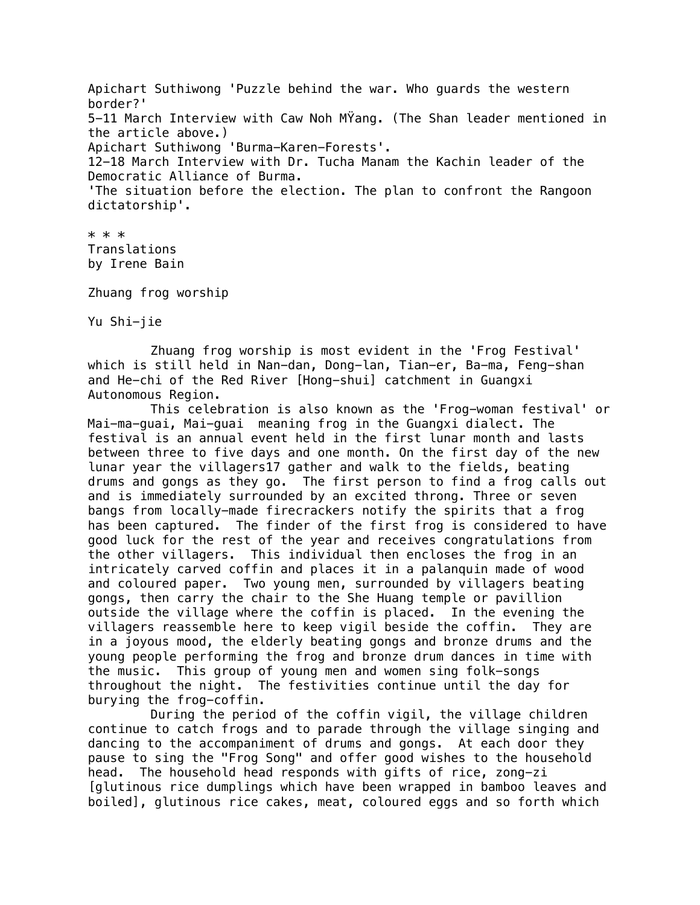Apichart Suthiwong 'Puzzle behind the war. Who guards the western border?' 5-11 March Interview with Caw Noh MŸang. (The Shan leader mentioned in the article above.) Apichart Suthiwong 'Burma-Karen-Forests'. 12-18 March Interview with Dr. Tucha Manam the Kachin leader of the Democratic Alliance of Burma. 'The situation before the election. The plan to confront the Rangoon dictatorship'.

\* \* \* Translations by Irene Bain

Zhuang frog worship

Yu Shi-jie

Zhuang frog worship is most evident in the 'Frog Festival' which is still held in Nan-dan, Dong-lan, Tian-er, Ba-ma, Feng-shan and He-chi of the Red River [Hong-shui] catchment in Guangxi Autonomous Region.

This celebration is also known as the 'Frog-woman festival' or Mai-ma-guai, Mai-guai meaning frog in the Guangxi dialect. The festival is an annual event held in the first lunar month and lasts between three to five days and one month. On the first day of the new lunar year the villagers17 gather and walk to the fields, beating drums and gongs as they go. The first person to find a frog calls out and is immediately surrounded by an excited throng. Three or seven bangs from locally-made firecrackers notify the spirits that a frog has been captured. The finder of the first frog is considered to have good luck for the rest of the year and receives congratulations from the other villagers. This individual then encloses the frog in an intricately carved coffin and places it in a palanquin made of wood and coloured paper. Two young men, surrounded by villagers beating gongs, then carry the chair to the She Huang temple or pavillion outside the village where the coffin is placed. In the evening the villagers reassemble here to keep vigil beside the coffin. They are in a joyous mood, the elderly beating gongs and bronze drums and the young people performing the frog and bronze drum dances in time with the music. This group of young men and women sing folk-songs throughout the night. The festivities continue until the day for burying the frog-coffin.

During the period of the coffin vigil, the village children continue to catch frogs and to parade through the village singing and dancing to the accompaniment of drums and gongs. At each door they pause to sing the "Frog Song" and offer good wishes to the household head. The household head responds with gifts of rice, zong-zi [glutinous rice dumplings which have been wrapped in bamboo leaves and boiled], glutinous rice cakes, meat, coloured eggs and so forth which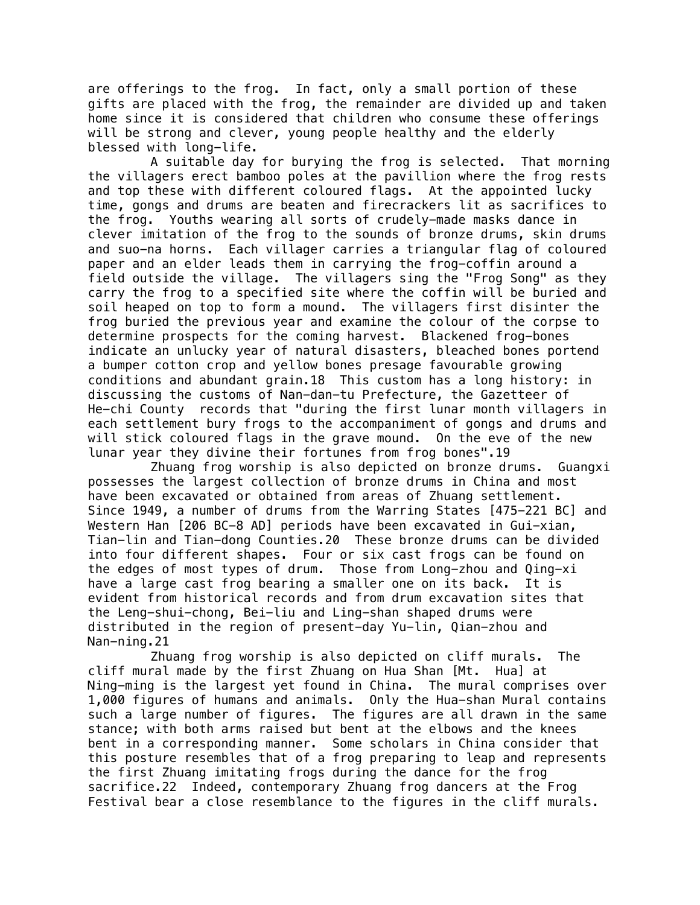are offerings to the frog. In fact, only a small portion of these gifts are placed with the frog, the remainder are divided up and taken home since it is considered that children who consume these offerings will be strong and clever, young people healthy and the elderly blessed with long-life.

A suitable day for burying the frog is selected. That morning the villagers erect bamboo poles at the pavillion where the frog rests and top these with different coloured flags. At the appointed lucky time, gongs and drums are beaten and firecrackers lit as sacrifices to the frog. Youths wearing all sorts of crudely-made masks dance in clever imitation of the frog to the sounds of bronze drums, skin drums and suo-na horns. Each villager carries a triangular flag of coloured paper and an elder leads them in carrying the frog-coffin around a field outside the village. The villagers sing the "Frog Song" as they carry the frog to a specified site where the coffin will be buried and soil heaped on top to form a mound. The villagers first disinter the frog buried the previous year and examine the colour of the corpse to determine prospects for the coming harvest. Blackened frog-bones indicate an unlucky year of natural disasters, bleached bones portend a bumper cotton crop and yellow bones presage favourable growing conditions and abundant grain.18 This custom has a long history: in discussing the customs of Nan-dan-tu Prefecture, the Gazetteer of He-chi County records that "during the first lunar month villagers in each settlement bury frogs to the accompaniment of gongs and drums and will stick coloured flags in the grave mound. On the eve of the new lunar year they divine their fortunes from frog bones".19

Zhuang frog worship is also depicted on bronze drums. Guangxi possesses the largest collection of bronze drums in China and most have been excavated or obtained from areas of Zhuang settlement. Since 1949, a number of drums from the Warring States [475-221 BC] and Western Han [206 BC-8 AD] periods have been excavated in Gui-xian, Tian-lin and Tian-dong Counties.20 These bronze drums can be divided into four different shapes. Four or six cast frogs can be found on the edges of most types of drum. Those from Long-zhou and Qing-xi have a large cast frog bearing a smaller one on its back. It is evident from historical records and from drum excavation sites that the Leng-shui-chong, Bei-liu and Ling-shan shaped drums were distributed in the region of present-day Yu-lin, Qian-zhou and Nan-ning.21

Zhuang frog worship is also depicted on cliff murals. The cliff mural made by the first Zhuang on Hua Shan [Mt. Hua] at Ning-ming is the largest yet found in China. The mural comprises over 1,000 figures of humans and animals. Only the Hua-shan Mural contains such a large number of figures. The figures are all drawn in the same stance; with both arms raised but bent at the elbows and the knees bent in a corresponding manner. Some scholars in China consider that this posture resembles that of a frog preparing to leap and represents the first Zhuang imitating frogs during the dance for the frog sacrifice.22 Indeed, contemporary Zhuang frog dancers at the Frog Festival bear a close resemblance to the figures in the cliff murals.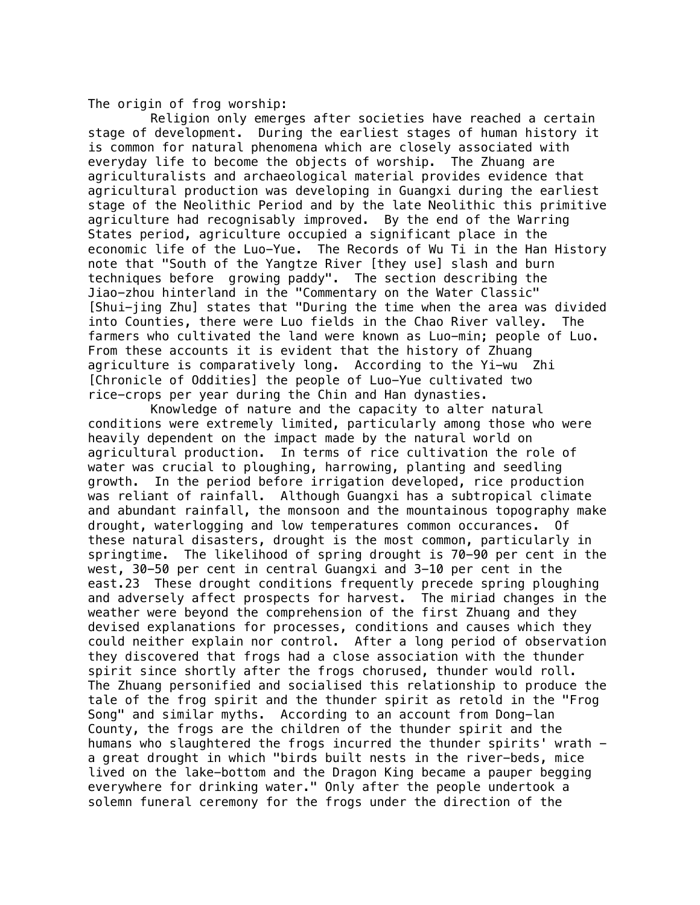The origin of frog worship:

Religion only emerges after societies have reached a certain stage of development. During the earliest stages of human history it is common for natural phenomena which are closely associated with everyday life to become the objects of worship. The Zhuang are agriculturalists and archaeological material provides evidence that agricultural production was developing in Guangxi during the earliest stage of the Neolithic Period and by the late Neolithic this primitive agriculture had recognisably improved. By the end of the Warring States period, agriculture occupied a significant place in the economic life of the Luo-Yue. The Records of Wu Ti in the Han History note that "South of the Yangtze River [they use] slash and burn techniques before growing paddy". The section describing the Jiao-zhou hinterland in the "Commentary on the Water Classic" [Shui-jing Zhu] states that "During the time when the area was divided into Counties, there were Luo fields in the Chao River valley. The farmers who cultivated the land were known as Luo-min; people of Luo. From these accounts it is evident that the history of Zhuang agriculture is comparatively long. According to the Yi-wu Zhi [Chronicle of Oddities] the people of Luo-Yue cultivated two rice-crops per year during the Chin and Han dynasties.

Knowledge of nature and the capacity to alter natural conditions were extremely limited, particularly among those who were heavily dependent on the impact made by the natural world on agricultural production. In terms of rice cultivation the role of water was crucial to ploughing, harrowing, planting and seedling growth. In the period before irrigation developed, rice production was reliant of rainfall. Although Guangxi has a subtropical climate and abundant rainfall, the monsoon and the mountainous topography make drought, waterlogging and low temperatures common occurances. Of these natural disasters, drought is the most common, particularly in springtime. The likelihood of spring drought is 70-90 per cent in the west, 30-50 per cent in central Guangxi and 3-10 per cent in the east.23 These drought conditions frequently precede spring ploughing and adversely affect prospects for harvest. The miriad changes in the weather were beyond the comprehension of the first Zhuang and they devised explanations for processes, conditions and causes which they could neither explain nor control. After a long period of observation they discovered that frogs had a close association with the thunder spirit since shortly after the frogs chorused, thunder would roll. The Zhuang personified and socialised this relationship to produce the tale of the frog spirit and the thunder spirit as retold in the "Frog Song" and similar myths. According to an account from Dong-lan County, the frogs are the children of the thunder spirit and the humans who slaughtered the frogs incurred the thunder spirits' wrath a great drought in which "birds built nests in the river-beds, mice lived on the lake-bottom and the Dragon King became a pauper begging everywhere for drinking water." Only after the people undertook a solemn funeral ceremony for the frogs under the direction of the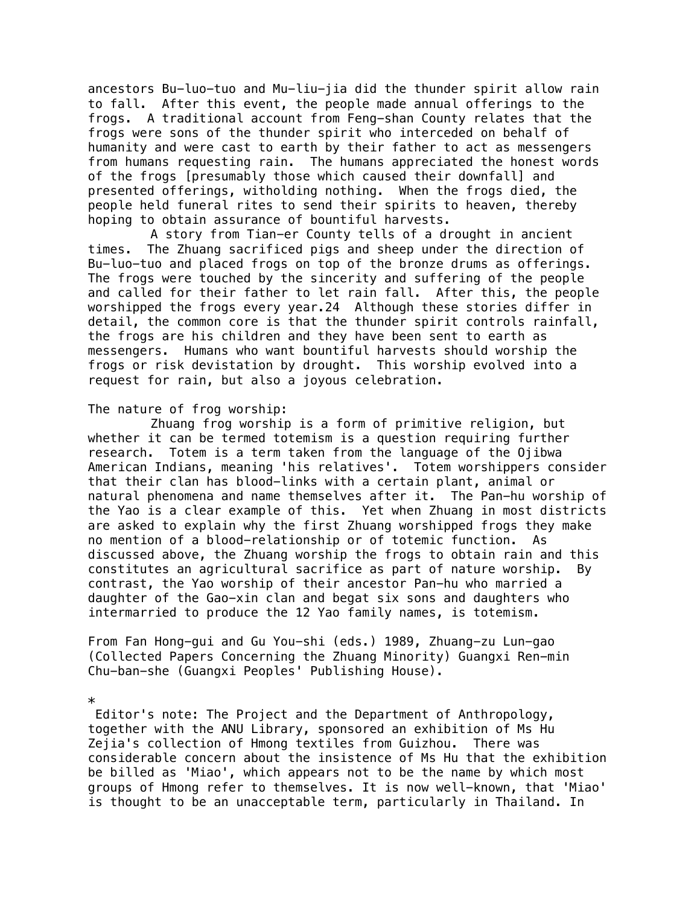ancestors Bu-luo-tuo and Mu-liu-jia did the thunder spirit allow rain to fall. After this event, the people made annual offerings to the frogs. A traditional account from Feng-shan County relates that the frogs were sons of the thunder spirit who interceded on behalf of humanity and were cast to earth by their father to act as messengers from humans requesting rain. The humans appreciated the honest words of the frogs [presumably those which caused their downfall] and presented offerings, witholding nothing. When the frogs died, the people held funeral rites to send their spirits to heaven, thereby hoping to obtain assurance of bountiful harvests.

A story from Tian-er County tells of a drought in ancient times. The Zhuang sacrificed pigs and sheep under the direction of Bu-luo-tuo and placed frogs on top of the bronze drums as offerings. The frogs were touched by the sincerity and suffering of the people and called for their father to let rain fall. After this, the people worshipped the frogs every year.24 Although these stories differ in detail, the common core is that the thunder spirit controls rainfall, the frogs are his children and they have been sent to earth as messengers. Humans who want bountiful harvests should worship the frogs or risk devistation by drought. This worship evolved into a request for rain, but also a joyous celebration.

#### The nature of frog worship:

Zhuang frog worship is a form of primitive religion, but whether it can be termed totemism is a question requiring further research. Totem is a term taken from the language of the Ojibwa American Indians, meaning 'his relatives'. Totem worshippers consider that their clan has blood-links with a certain plant, animal or natural phenomena and name themselves after it. The Pan-hu worship of the Yao is a clear example of this. Yet when Zhuang in most districts are asked to explain why the first Zhuang worshipped frogs they make no mention of a blood-relationship or of totemic function. As discussed above, the Zhuang worship the frogs to obtain rain and this constitutes an agricultural sacrifice as part of nature worship. By contrast, the Yao worship of their ancestor Pan-hu who married a daughter of the Gao-xin clan and begat six sons and daughters who intermarried to produce the 12 Yao family names, is totemism.

From Fan Hong-gui and Gu You-shi (eds.) 1989, Zhuang-zu Lun-gao (Collected Papers Concerning the Zhuang Minority) Guangxi Ren-min Chu-ban-she (Guangxi Peoples' Publishing House).

\*

 Editor's note: The Project and the Department of Anthropology, together with the ANU Library, sponsored an exhibition of Ms Hu Zejia's collection of Hmong textiles from Guizhou. There was considerable concern about the insistence of Ms Hu that the exhibition be billed as 'Miao', which appears not to be the name by which most groups of Hmong refer to themselves. It is now well-known, that 'Miao' is thought to be an unacceptable term, particularly in Thailand. In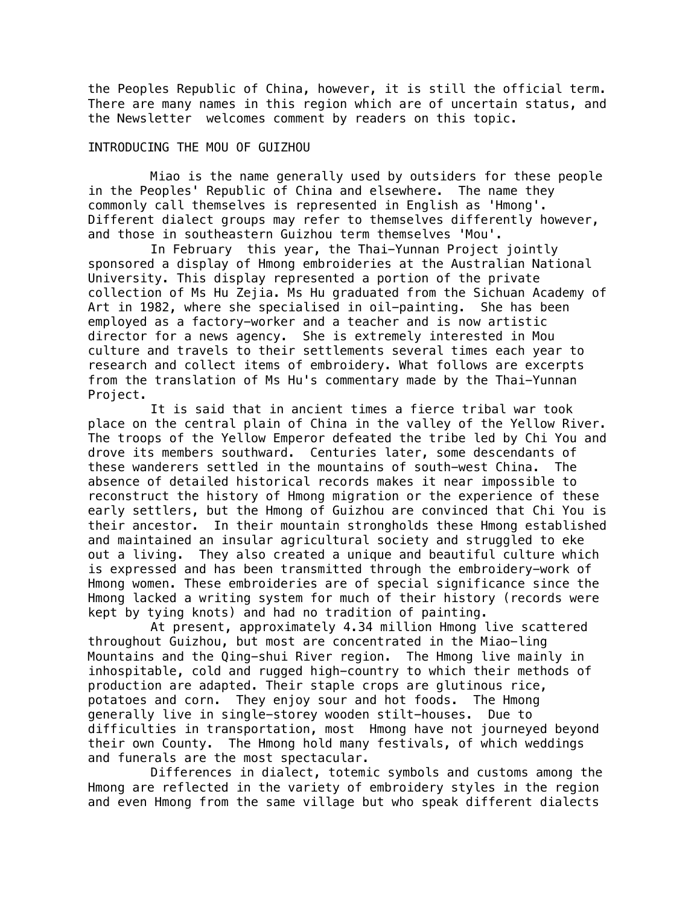the Peoples Republic of China, however, it is still the official term. There are many names in this region which are of uncertain status, and the Newsletter welcomes comment by readers on this topic.

# INTRODUCING THE MOU OF GUIZHOU

Miao is the name generally used by outsiders for these people in the Peoples' Republic of China and elsewhere. The name they commonly call themselves is represented in English as 'Hmong'. Different dialect groups may refer to themselves differently however, and those in southeastern Guizhou term themselves 'Mou'.

In February this year, the Thai-Yunnan Project jointly sponsored a display of Hmong embroideries at the Australian National University. This display represented a portion of the private collection of Ms Hu Zejia. Ms Hu graduated from the Sichuan Academy of Art in 1982, where she specialised in oil-painting. She has been employed as a factory-worker and a teacher and is now artistic director for a news agency. She is extremely interested in Mou culture and travels to their settlements several times each year to research and collect items of embroidery. What follows are excerpts from the translation of Ms Hu's commentary made by the Thai-Yunnan Project.

It is said that in ancient times a fierce tribal war took place on the central plain of China in the valley of the Yellow River. The troops of the Yellow Emperor defeated the tribe led by Chi You and drove its members southward. Centuries later, some descendants of these wanderers settled in the mountains of south-west China. The absence of detailed historical records makes it near impossible to reconstruct the history of Hmong migration or the experience of these early settlers, but the Hmong of Guizhou are convinced that Chi You is their ancestor. In their mountain strongholds these Hmong established and maintained an insular agricultural society and struggled to eke out a living. They also created a unique and beautiful culture which is expressed and has been transmitted through the embroidery-work of Hmong women. These embroideries are of special significance since the Hmong lacked a writing system for much of their history (records were kept by tying knots) and had no tradition of painting.

At present, approximately 4.34 million Hmong live scattered throughout Guizhou, but most are concentrated in the Miao-ling Mountains and the Qing-shui River region. The Hmong live mainly in inhospitable, cold and rugged high-country to which their methods of production are adapted. Their staple crops are glutinous rice, potatoes and corn. They enjoy sour and hot foods. The Hmong generally live in single-storey wooden stilt-houses. Due to difficulties in transportation, most Hmong have not journeyed beyond their own County. The Hmong hold many festivals, of which weddings and funerals are the most spectacular.

Differences in dialect, totemic symbols and customs among the Hmong are reflected in the variety of embroidery styles in the region and even Hmong from the same village but who speak different dialects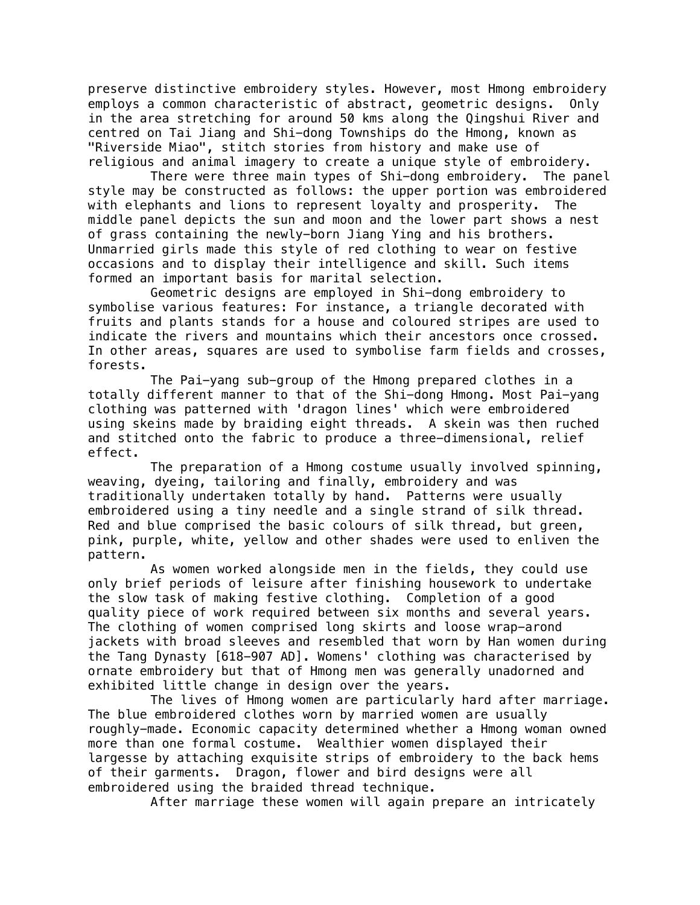preserve distinctive embroidery styles. However, most Hmong embroidery employs a common characteristic of abstract, geometric designs. Only in the area stretching for around 50 kms along the Qingshui River and centred on Tai Jiang and Shi-dong Townships do the Hmong, known as "Riverside Miao", stitch stories from history and make use of religious and animal imagery to create a unique style of embroidery.

There were three main types of Shi-dong embroidery. The panel style may be constructed as follows: the upper portion was embroidered with elephants and lions to represent loyalty and prosperity. The middle panel depicts the sun and moon and the lower part shows a nest of grass containing the newly-born Jiang Ying and his brothers. Unmarried girls made this style of red clothing to wear on festive occasions and to display their intelligence and skill. Such items formed an important basis for marital selection.

Geometric designs are employed in Shi-dong embroidery to symbolise various features: For instance, a triangle decorated with fruits and plants stands for a house and coloured stripes are used to indicate the rivers and mountains which their ancestors once crossed. In other areas, squares are used to symbolise farm fields and crosses, forests.

The Pai-yang sub-group of the Hmong prepared clothes in a totally different manner to that of the Shi-dong Hmong. Most Pai-yang clothing was patterned with 'dragon lines' which were embroidered using skeins made by braiding eight threads. A skein was then ruched and stitched onto the fabric to produce a three-dimensional, relief effect.

The preparation of a Hmong costume usually involved spinning, weaving, dyeing, tailoring and finally, embroidery and was traditionally undertaken totally by hand. Patterns were usually embroidered using a tiny needle and a single strand of silk thread. Red and blue comprised the basic colours of silk thread, but green, pink, purple, white, yellow and other shades were used to enliven the pattern.

As women worked alongside men in the fields, they could use only brief periods of leisure after finishing housework to undertake the slow task of making festive clothing. Completion of a good quality piece of work required between six months and several years. The clothing of women comprised long skirts and loose wrap-arond jackets with broad sleeves and resembled that worn by Han women during the Tang Dynasty [618-907 AD]. Womens' clothing was characterised by ornate embroidery but that of Hmong men was generally unadorned and exhibited little change in design over the years.

The lives of Hmong women are particularly hard after marriage. The blue embroidered clothes worn by married women are usually roughly-made. Economic capacity determined whether a Hmong woman owned more than one formal costume. Wealthier women displayed their largesse by attaching exquisite strips of embroidery to the back hems of their garments. Dragon, flower and bird designs were all embroidered using the braided thread technique.

After marriage these women will again prepare an intricately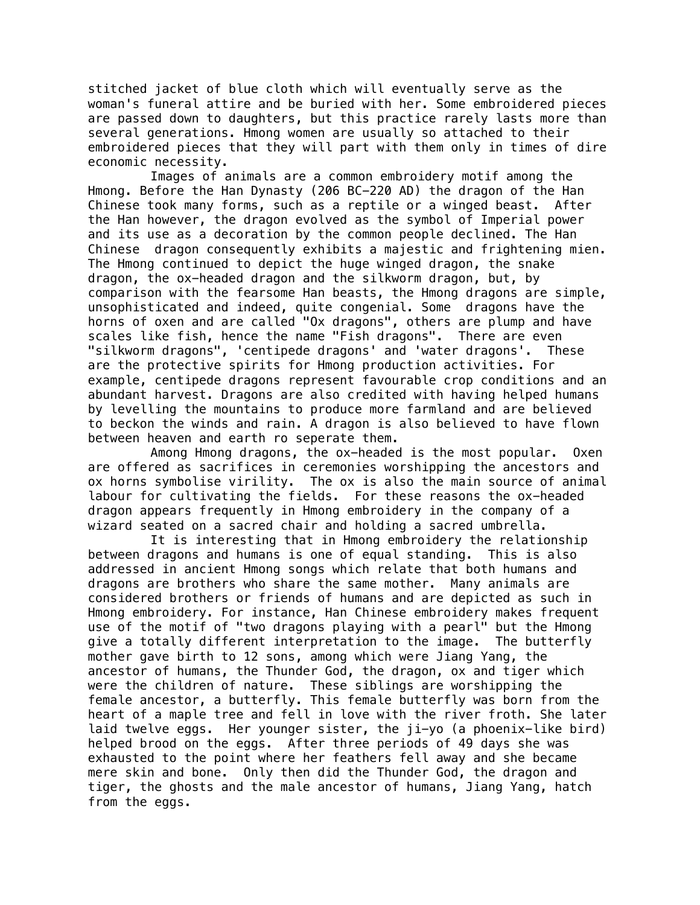stitched jacket of blue cloth which will eventually serve as the woman's funeral attire and be buried with her. Some embroidered pieces are passed down to daughters, but this practice rarely lasts more than several generations. Hmong women are usually so attached to their embroidered pieces that they will part with them only in times of dire economic necessity.

Images of animals are a common embroidery motif among the Hmong. Before the Han Dynasty (206 BC-220 AD) the dragon of the Han Chinese took many forms, such as a reptile or a winged beast. After the Han however, the dragon evolved as the symbol of Imperial power and its use as a decoration by the common people declined. The Han Chinese dragon consequently exhibits a majestic and frightening mien. The Hmong continued to depict the huge winged dragon, the snake dragon, the ox-headed dragon and the silkworm dragon, but, by comparison with the fearsome Han beasts, the Hmong dragons are simple, unsophisticated and indeed, quite congenial. Some dragons have the horns of oxen and are called "Ox dragons", others are plump and have scales like fish, hence the name "Fish dragons". There are even "silkworm dragons", 'centipede dragons' and 'water dragons'. These are the protective spirits for Hmong production activities. For example, centipede dragons represent favourable crop conditions and an abundant harvest. Dragons are also credited with having helped humans by levelling the mountains to produce more farmland and are believed to beckon the winds and rain. A dragon is also believed to have flown between heaven and earth ro seperate them.

Among Hmong dragons, the ox-headed is the most popular. Oxen are offered as sacrifices in ceremonies worshipping the ancestors and ox horns symbolise virility. The ox is also the main source of animal labour for cultivating the fields. For these reasons the ox-headed dragon appears frequently in Hmong embroidery in the company of a wizard seated on a sacred chair and holding a sacred umbrella.

It is interesting that in Hmong embroidery the relationship between dragons and humans is one of equal standing. This is also addressed in ancient Hmong songs which relate that both humans and dragons are brothers who share the same mother. Many animals are considered brothers or friends of humans and are depicted as such in Hmong embroidery. For instance, Han Chinese embroidery makes frequent use of the motif of "two dragons playing with a pearl" but the Hmong give a totally different interpretation to the image. The butterfly mother gave birth to 12 sons, among which were Jiang Yang, the ancestor of humans, the Thunder God, the dragon, ox and tiger which were the children of nature. These siblings are worshipping the female ancestor, a butterfly. This female butterfly was born from the heart of a maple tree and fell in love with the river froth. She later laid twelve eggs. Her younger sister, the ji-yo (a phoenix-like bird) helped brood on the eggs. After three periods of 49 days she was exhausted to the point where her feathers fell away and she became mere skin and bone. Only then did the Thunder God, the dragon and tiger, the ghosts and the male ancestor of humans, Jiang Yang, hatch from the eggs.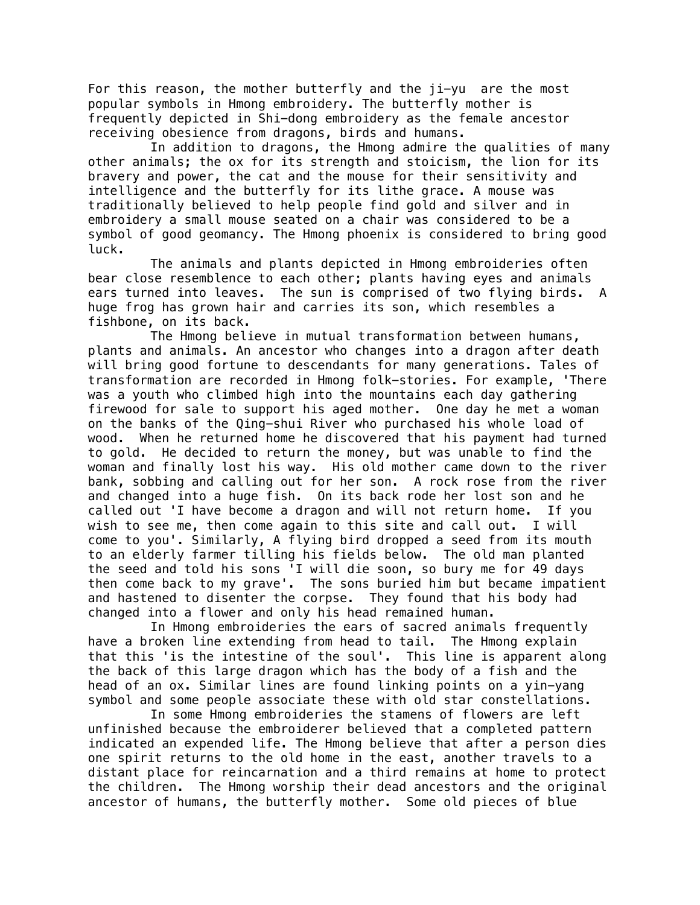For this reason, the mother butterfly and the ji-yu are the most popular symbols in Hmong embroidery. The butterfly mother is frequently depicted in Shi-dong embroidery as the female ancestor receiving obesience from dragons, birds and humans.

In addition to dragons, the Hmong admire the qualities of many other animals; the ox for its strength and stoicism, the lion for its bravery and power, the cat and the mouse for their sensitivity and intelligence and the butterfly for its lithe grace. A mouse was traditionally believed to help people find gold and silver and in embroidery a small mouse seated on a chair was considered to be a symbol of good geomancy. The Hmong phoenix is considered to bring good luck.

The animals and plants depicted in Hmong embroideries often bear close resemblence to each other; plants having eyes and animals ears turned into leaves. The sun is comprised of two flying birds. A huge frog has grown hair and carries its son, which resembles a fishbone, on its back.

The Hmong believe in mutual transformation between humans, plants and animals. An ancestor who changes into a dragon after death will bring good fortune to descendants for many generations. Tales of transformation are recorded in Hmong folk-stories. For example, 'There was a youth who climbed high into the mountains each day gathering firewood for sale to support his aged mother. One day he met a woman on the banks of the Qing-shui River who purchased his whole load of wood. When he returned home he discovered that his payment had turned to gold. He decided to return the money, but was unable to find the woman and finally lost his way. His old mother came down to the river bank, sobbing and calling out for her son. A rock rose from the river and changed into a huge fish. On its back rode her lost son and he called out 'I have become a dragon and will not return home. If you wish to see me, then come again to this site and call out. I will come to you'. Similarly, A flying bird dropped a seed from its mouth to an elderly farmer tilling his fields below. The old man planted the seed and told his sons 'I will die soon, so bury me for 49 days then come back to my grave'. The sons buried him but became impatient and hastened to disenter the corpse. They found that his body had changed into a flower and only his head remained human.

In Hmong embroideries the ears of sacred animals frequently have a broken line extending from head to tail. The Hmong explain that this 'is the intestine of the soul'. This line is apparent along the back of this large dragon which has the body of a fish and the head of an ox. Similar lines are found linking points on a yin-yang symbol and some people associate these with old star constellations.

In some Hmong embroideries the stamens of flowers are left unfinished because the embroiderer believed that a completed pattern indicated an expended life. The Hmong believe that after a person dies one spirit returns to the old home in the east, another travels to a distant place for reincarnation and a third remains at home to protect the children. The Hmong worship their dead ancestors and the original ancestor of humans, the butterfly mother. Some old pieces of blue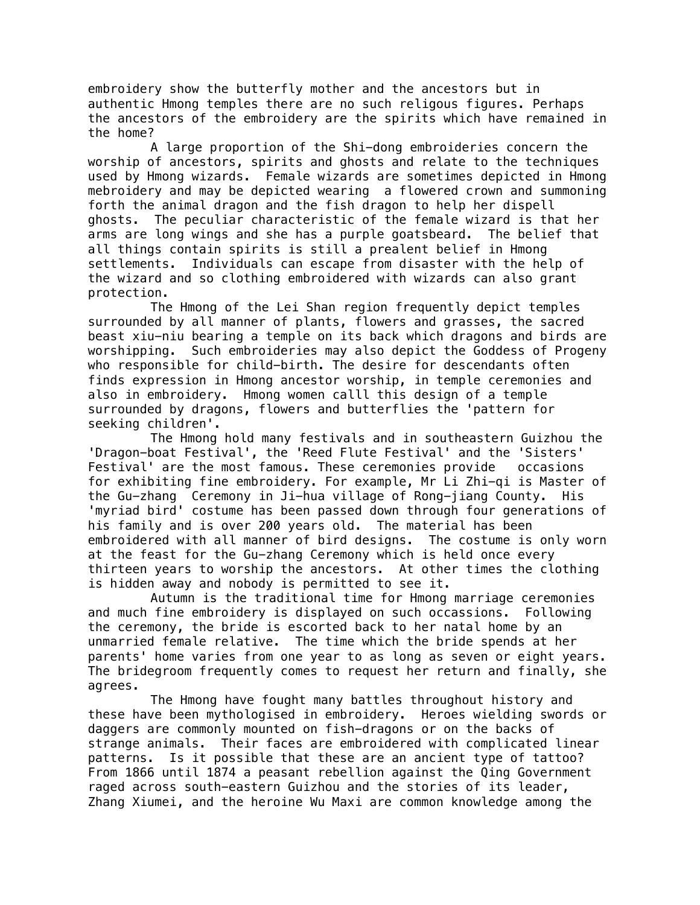embroidery show the butterfly mother and the ancestors but in authentic Hmong temples there are no such religous figures. Perhaps the ancestors of the embroidery are the spirits which have remained in the home?

A large proportion of the Shi-dong embroideries concern the worship of ancestors, spirits and ghosts and relate to the techniques used by Hmong wizards. Female wizards are sometimes depicted in Hmong mebroidery and may be depicted wearing a flowered crown and summoning forth the animal dragon and the fish dragon to help her dispell ghosts. The peculiar characteristic of the female wizard is that her arms are long wings and she has a purple goatsbeard. The belief that all things contain spirits is still a prealent belief in Hmong settlements. Individuals can escape from disaster with the help of the wizard and so clothing embroidered with wizards can also grant protection.

The Hmong of the Lei Shan region frequently depict temples surrounded by all manner of plants, flowers and grasses, the sacred beast xiu-niu bearing a temple on its back which dragons and birds are worshipping. Such embroideries may also depict the Goddess of Progeny who responsible for child-birth. The desire for descendants often finds expression in Hmong ancestor worship, in temple ceremonies and also in embroidery. Hmong women calll this design of a temple surrounded by dragons, flowers and butterflies the 'pattern for seeking children'.

 The Hmong hold many festivals and in southeastern Guizhou the 'Dragon-boat Festival', the 'Reed Flute Festival' and the 'Sisters' Festival' are the most famous. These ceremonies provide occasions for exhibiting fine embroidery. For example, Mr Li Zhi-qi is Master of the Gu-zhang Ceremony in Ji-hua village of Rong-jiang County. His 'myriad bird' costume has been passed down through four generations of his family and is over 200 years old. The material has been embroidered with all manner of bird designs. The costume is only worn at the feast for the Gu-zhang Ceremony which is held once every thirteen years to worship the ancestors. At other times the clothing is hidden away and nobody is permitted to see it.

Autumn is the traditional time for Hmong marriage ceremonies and much fine embroidery is displayed on such occassions. Following the ceremony, the bride is escorted back to her natal home by an unmarried female relative. The time which the bride spends at her parents' home varies from one year to as long as seven or eight years. The bridegroom frequently comes to request her return and finally, she agrees.

The Hmong have fought many battles throughout history and these have been mythologised in embroidery. Heroes wielding swords or daggers are commonly mounted on fish-dragons or on the backs of strange animals. Their faces are embroidered with complicated linear patterns. Is it possible that these are an ancient type of tattoo? From 1866 until 1874 a peasant rebellion against the Qing Government raged across south-eastern Guizhou and the stories of its leader, Zhang Xiumei, and the heroine Wu Maxi are common knowledge among the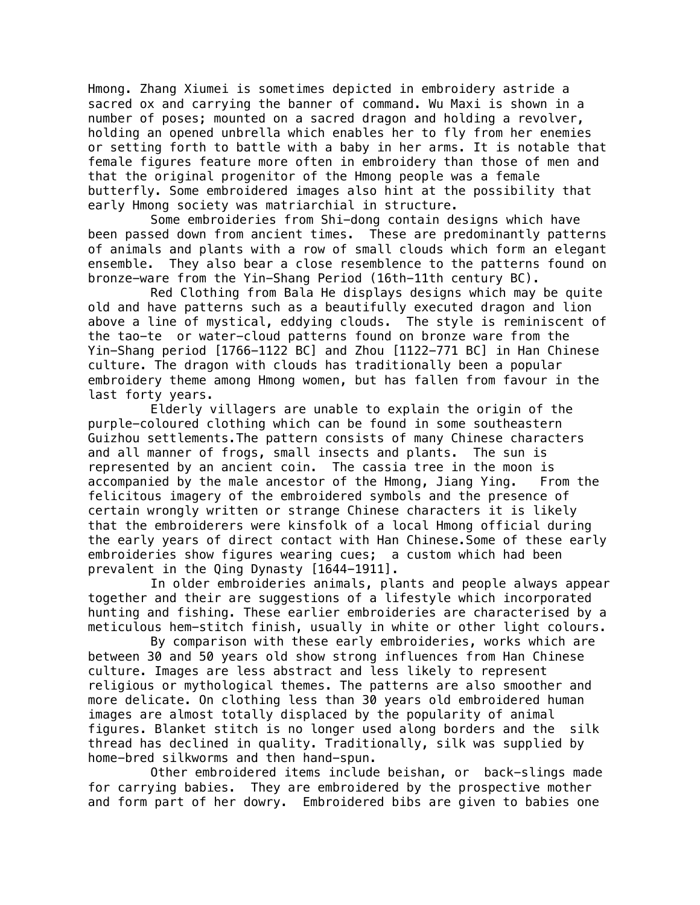Hmong. Zhang Xiumei is sometimes depicted in embroidery astride a sacred ox and carrying the banner of command. Wu Maxi is shown in a number of poses; mounted on a sacred dragon and holding a revolver, holding an opened unbrella which enables her to fly from her enemies or setting forth to battle with a baby in her arms. It is notable that female figures feature more often in embroidery than those of men and that the original progenitor of the Hmong people was a female butterfly. Some embroidered images also hint at the possibility that early Hmong society was matriarchial in structure.

 Some embroideries from Shi-dong contain designs which have been passed down from ancient times. These are predominantly patterns of animals and plants with a row of small clouds which form an elegant ensemble. They also bear a close resemblence to the patterns found on bronze-ware from the Yin-Shang Period (16th-11th century BC).

Red Clothing from Bala He displays designs which may be quite old and have patterns such as a beautifully executed dragon and lion above a line of mystical, eddying clouds. The style is reminiscent of the tao-te or water-cloud patterns found on bronze ware from the Yin-Shang period [1766-1122 BC] and Zhou [1122-771 BC] in Han Chinese culture. The dragon with clouds has traditionally been a popular embroidery theme among Hmong women, but has fallen from favour in the last forty years.

Elderly villagers are unable to explain the origin of the purple-coloured clothing which can be found in some southeastern Guizhou settlements.The pattern consists of many Chinese characters and all manner of frogs, small insects and plants. The sun is represented by an ancient coin. The cassia tree in the moon is accompanied by the male ancestor of the Hmong, Jiang Ying. From the felicitous imagery of the embroidered symbols and the presence of certain wrongly written or strange Chinese characters it is likely that the embroiderers were kinsfolk of a local Hmong official during the early years of direct contact with Han Chinese.Some of these early embroideries show figures wearing cues; a custom which had been prevalent in the Qing Dynasty [1644-1911].

In older embroideries animals, plants and people always appear together and their are suggestions of a lifestyle which incorporated hunting and fishing. These earlier embroideries are characterised by a meticulous hem-stitch finish, usually in white or other light colours.

By comparison with these early embroideries, works which are between 30 and 50 years old show strong influences from Han Chinese culture. Images are less abstract and less likely to represent religious or mythological themes. The patterns are also smoother and more delicate. On clothing less than 30 years old embroidered human images are almost totally displaced by the popularity of animal figures. Blanket stitch is no longer used along borders and the silk thread has declined in quality. Traditionally, silk was supplied by home-bred silkworms and then hand-spun.

Other embroidered items include beishan, or back-slings made for carrying babies. They are embroidered by the prospective mother and form part of her dowry. Embroidered bibs are given to babies one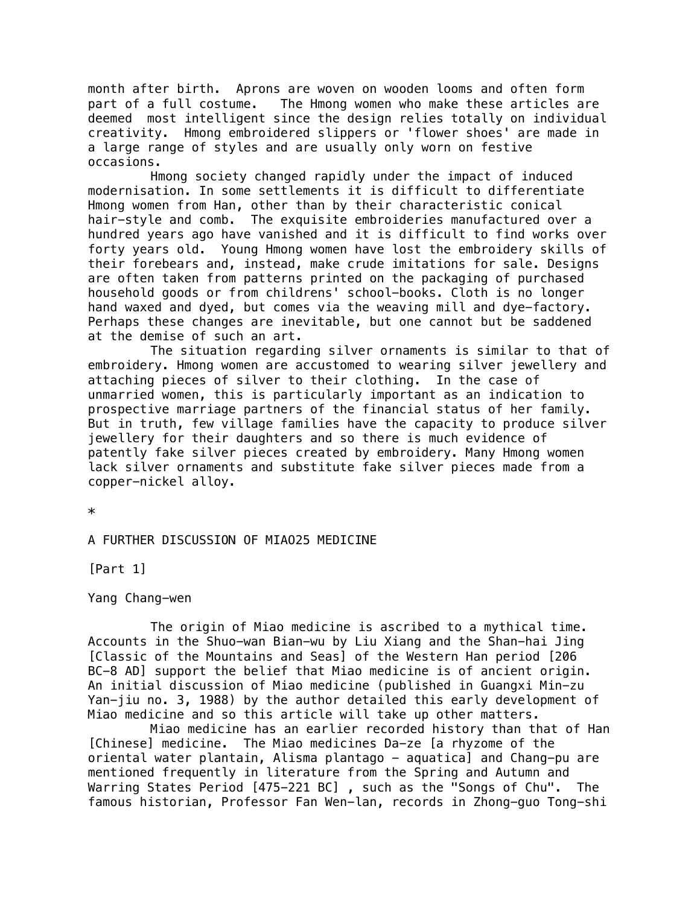month after birth. Aprons are woven on wooden looms and often form part of a full costume. The Hmong women who make these articles are deemed most intelligent since the design relies totally on individual creativity. Hmong embroidered slippers or 'flower shoes' are made in a large range of styles and are usually only worn on festive occasions.

 Hmong society changed rapidly under the impact of induced modernisation. In some settlements it is difficult to differentiate Hmong women from Han, other than by their characteristic conical hair-style and comb. The exquisite embroideries manufactured over a hundred years ago have vanished and it is difficult to find works over forty years old. Young Hmong women have lost the embroidery skills of their forebears and, instead, make crude imitations for sale. Designs are often taken from patterns printed on the packaging of purchased household goods or from childrens' school-books. Cloth is no longer hand waxed and dyed, but comes via the weaving mill and dye-factory. Perhaps these changes are inevitable, but one cannot but be saddened at the demise of such an art.

The situation regarding silver ornaments is similar to that of embroidery. Hmong women are accustomed to wearing silver jewellery and attaching pieces of silver to their clothing. In the case of unmarried women, this is particularly important as an indication to prospective marriage partners of the financial status of her family. But in truth, few village families have the capacity to produce silver jewellery for their daughters and so there is much evidence of patently fake silver pieces created by embroidery. Many Hmong women lack silver ornaments and substitute fake silver pieces made from a copper-nickel alloy.

\*

# A FURTHER DISCUSSION OF MIAO25 MEDICINE

[Part 1]

Yang Chang-wen

The origin of Miao medicine is ascribed to a mythical time. Accounts in the Shuo-wan Bian-wu by Liu Xiang and the Shan-hai Jing [Classic of the Mountains and Seas] of the Western Han period [206 BC-8 AD] support the belief that Miao medicine is of ancient origin. An initial discussion of Miao medicine (published in Guangxi Min-zu Yan-jiu no. 3, 1988) by the author detailed this early development of Miao medicine and so this article will take up other matters.

Miao medicine has an earlier recorded history than that of Han [Chinese] medicine. The Miao medicines Da-ze [a rhyzome of the oriental water plantain, Alisma plantago - aquatica] and Chang-pu are mentioned frequently in literature from the Spring and Autumn and Warring States Period [475-221 BC] , such as the "Songs of Chu". The famous historian, Professor Fan Wen-lan, records in Zhong-guo Tong-shi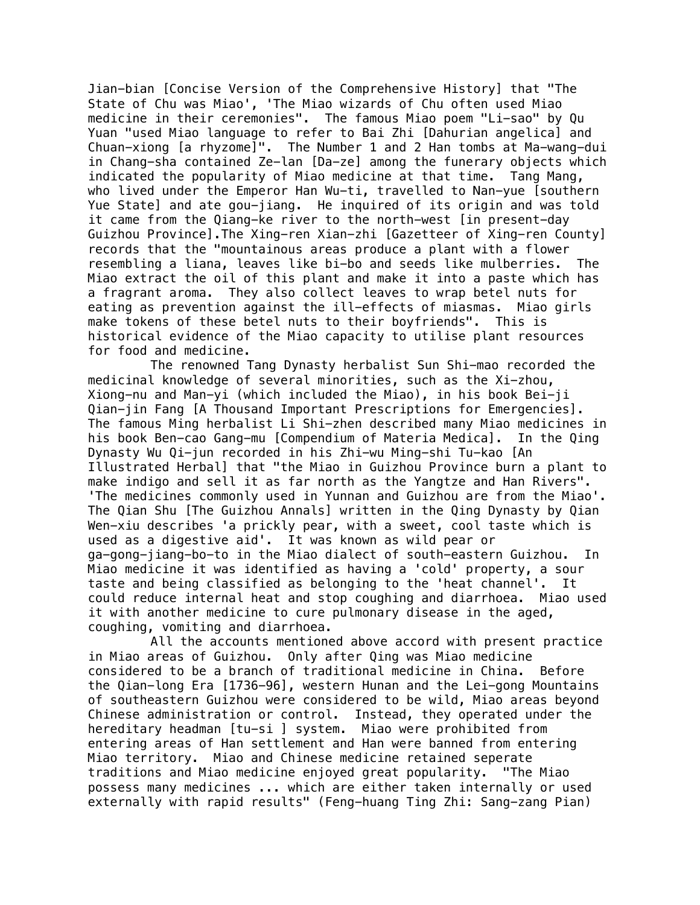Jian-bian [Concise Version of the Comprehensive History] that "The State of Chu was Miao', 'The Miao wizards of Chu often used Miao medicine in their ceremonies". The famous Miao poem "Li-sao" by Qu Yuan "used Miao language to refer to Bai Zhi [Dahurian angelica] and Chuan-xiong [a rhyzome]". The Number 1 and 2 Han tombs at Ma-wang-dui in Chang-sha contained Ze-lan [Da-ze] among the funerary objects which indicated the popularity of Miao medicine at that time. Tang Mang, who lived under the Emperor Han Wu-ti, travelled to Nan-yue [southern Yue State] and ate gou-jiang. He inquired of its origin and was told it came from the Qiang-ke river to the north-west [in present-day Guizhou Province].The Xing-ren Xian-zhi [Gazetteer of Xing-ren County] records that the "mountainous areas produce a plant with a flower resembling a liana, leaves like bi-bo and seeds like mulberries. The Miao extract the oil of this plant and make it into a paste which has a fragrant aroma. They also collect leaves to wrap betel nuts for eating as prevention against the ill-effects of miasmas. Miao girls make tokens of these betel nuts to their boyfriends". This is historical evidence of the Miao capacity to utilise plant resources for food and medicine.

The renowned Tang Dynasty herbalist Sun Shi-mao recorded the medicinal knowledge of several minorities, such as the Xi-zhou, Xiong-nu and Man-yi (which included the Miao), in his book Bei-ji Qian-jin Fang [A Thousand Important Prescriptions for Emergencies]. The famous Ming herbalist Li Shi-zhen described many Miao medicines in his book Ben-cao Gang-mu [Compendium of Materia Medica]. In the Qing Dynasty Wu Qi-jun recorded in his Zhi-wu Ming-shi Tu-kao [An Illustrated Herbal] that "the Miao in Guizhou Province burn a plant to make indigo and sell it as far north as the Yangtze and Han Rivers". 'The medicines commonly used in Yunnan and Guizhou are from the Miao'. The Qian Shu [The Guizhou Annals] written in the Qing Dynasty by Qian Wen-xiu describes 'a prickly pear, with a sweet, cool taste which is used as a digestive aid'. It was known as wild pear or ga-gong-jiang-bo-to in the Miao dialect of south-eastern Guizhou. In Miao medicine it was identified as having a 'cold' property, a sour taste and being classified as belonging to the 'heat channel'. It could reduce internal heat and stop coughing and diarrhoea. Miao used it with another medicine to cure pulmonary disease in the aged, coughing, vomiting and diarrhoea.

All the accounts mentioned above accord with present practice in Miao areas of Guizhou. Only after Qing was Miao medicine considered to be a branch of traditional medicine in China. Before the Qian-long Era [1736-96], western Hunan and the Lei-gong Mountains of southeastern Guizhou were considered to be wild, Miao areas beyond Chinese administration or control. Instead, they operated under the hereditary headman [tu-si ] system. Miao were prohibited from entering areas of Han settlement and Han were banned from entering Miao territory. Miao and Chinese medicine retained seperate traditions and Miao medicine enjoyed great popularity. "The Miao possess many medicines ... which are either taken internally or used externally with rapid results" (Feng-huang Ting Zhi: Sang-zang Pian)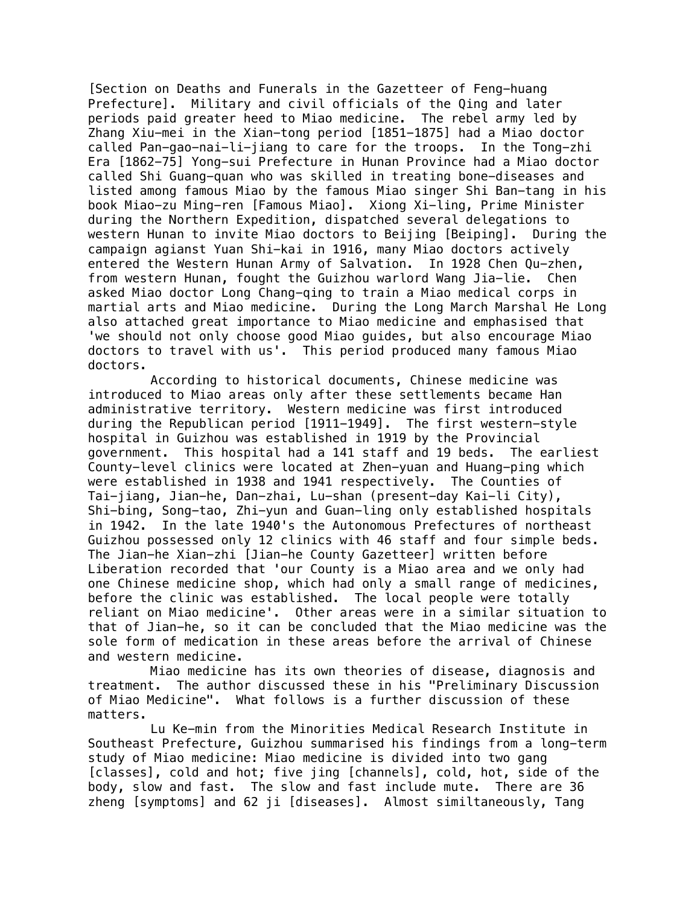[Section on Deaths and Funerals in the Gazetteer of Feng-huang Prefecture]. Military and civil officials of the Qing and later periods paid greater heed to Miao medicine. The rebel army led by Zhang Xiu-mei in the Xian-tong period [1851-1875] had a Miao doctor called Pan-gao-nai-li-jiang to care for the troops. In the Tong-zhi Era [1862-75] Yong-sui Prefecture in Hunan Province had a Miao doctor called Shi Guang-quan who was skilled in treating bone-diseases and listed among famous Miao by the famous Miao singer Shi Ban-tang in his book Miao-zu Ming-ren [Famous Miao]. Xiong Xi-ling, Prime Minister during the Northern Expedition, dispatched several delegations to western Hunan to invite Miao doctors to Beijing [Beiping]. During the campaign agianst Yuan Shi-kai in 1916, many Miao doctors actively entered the Western Hunan Army of Salvation. In 1928 Chen Qu-zhen, from western Hunan, fought the Guizhou warlord Wang Jia-lie. Chen asked Miao doctor Long Chang-qing to train a Miao medical corps in martial arts and Miao medicine. During the Long March Marshal He Long also attached great importance to Miao medicine and emphasised that 'we should not only choose good Miao guides, but also encourage Miao doctors to travel with us'. This period produced many famous Miao doctors.

According to historical documents, Chinese medicine was introduced to Miao areas only after these settlements became Han administrative territory. Western medicine was first introduced during the Republican period [1911-1949]. The first western-style hospital in Guizhou was established in 1919 by the Provincial government. This hospital had a 141 staff and 19 beds. The earliest County-level clinics were located at Zhen-yuan and Huang-ping which were established in 1938 and 1941 respectively. The Counties of Tai-jiang, Jian-he, Dan-zhai, Lu-shan (present-day Kai-li City), Shi-bing, Song-tao, Zhi-yun and Guan-ling only established hospitals<br>in 1942. In the late 1940's the Autonomous Prefectures of northeast In the late 1940's the Autonomous Prefectures of northeast Guizhou possessed only 12 clinics with 46 staff and four simple beds. The Jian-he Xian-zhi [Jian-he County Gazetteer] written before Liberation recorded that 'our County is a Miao area and we only had one Chinese medicine shop, which had only a small range of medicines, before the clinic was established. The local people were totally reliant on Miao medicine'. Other areas were in a similar situation to that of Jian-he, so it can be concluded that the Miao medicine was the sole form of medication in these areas before the arrival of Chinese and western medicine.

Miao medicine has its own theories of disease, diagnosis and treatment. The author discussed these in his "Preliminary Discussion of Miao Medicine". What follows is a further discussion of these matters.

Lu Ke-min from the Minorities Medical Research Institute in Southeast Prefecture, Guizhou summarised his findings from a long-term study of Miao medicine: Miao medicine is divided into two gang [classes], cold and hot; five jing [channels], cold, hot, side of the body, slow and fast. The slow and fast include mute. There are 36 zheng [symptoms] and 62 ji [diseases]. Almost similtaneously, Tang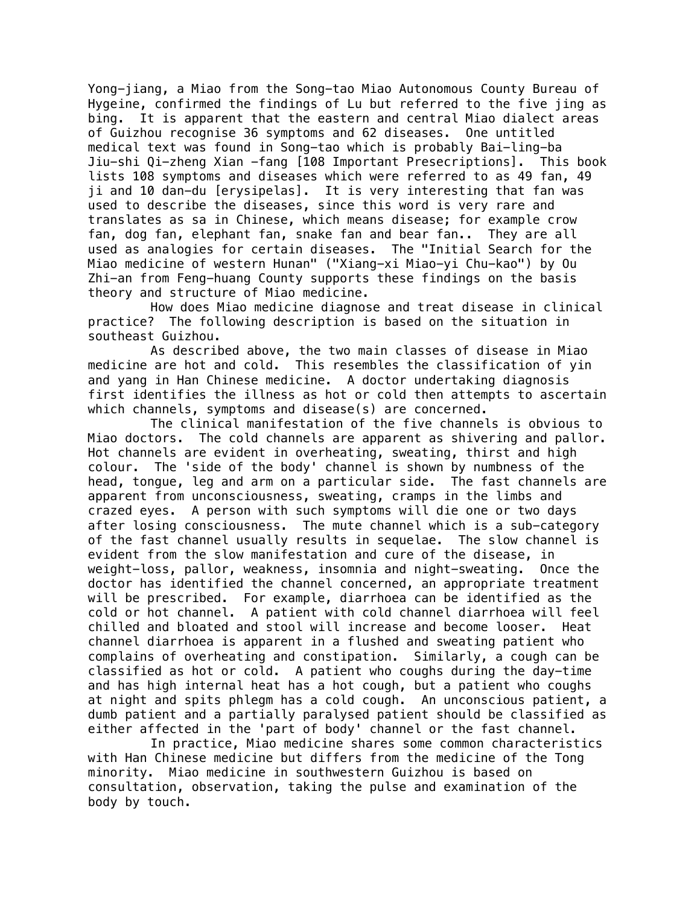Yong-jiang, a Miao from the Song-tao Miao Autonomous County Bureau of Hygeine, confirmed the findings of Lu but referred to the five jing as bing. It is apparent that the eastern and central Miao dialect areas of Guizhou recognise 36 symptoms and 62 diseases. One untitled medical text was found in Song-tao which is probably Bai-ling-ba Jiu-shi Qi-zheng Xian -fang [108 Important Presecriptions]. This book lists 108 symptoms and diseases which were referred to as 49 fan, 49 ji and 10 dan-du [erysipelas]. It is very interesting that fan was used to describe the diseases, since this word is very rare and translates as sa in Chinese, which means disease; for example crow fan, dog fan, elephant fan, snake fan and bear fan.. They are all used as analogies for certain diseases. The "Initial Search for the Miao medicine of western Hunan" ("Xiang-xi Miao-yi Chu-kao") by Ou Zhi-an from Feng-huang County supports these findings on the basis theory and structure of Miao medicine.

How does Miao medicine diagnose and treat disease in clinical practice? The following description is based on the situation in southeast Guizhou.

As described above, the two main classes of disease in Miao medicine are hot and cold. This resembles the classification of yin and yang in Han Chinese medicine. A doctor undertaking diagnosis first identifies the illness as hot or cold then attempts to ascertain which channels, symptoms and disease(s) are concerned.

The clinical manifestation of the five channels is obvious to Miao doctors. The cold channels are apparent as shivering and pallor. Hot channels are evident in overheating, sweating, thirst and high colour. The 'side of the body' channel is shown by numbness of the head, tongue, leg and arm on a particular side. The fast channels are apparent from unconsciousness, sweating, cramps in the limbs and crazed eyes. A person with such symptoms will die one or two days after losing consciousness. The mute channel which is a sub-category of the fast channel usually results in sequelae. The slow channel is evident from the slow manifestation and cure of the disease, in weight-loss, pallor, weakness, insomnia and night-sweating. Once the doctor has identified the channel concerned, an appropriate treatment will be prescribed. For example, diarrhoea can be identified as the cold or hot channel. A patient with cold channel diarrhoea will feel chilled and bloated and stool will increase and become looser. Heat channel diarrhoea is apparent in a flushed and sweating patient who complains of overheating and constipation. Similarly, a cough can be classified as hot or cold. A patient who coughs during the day-time and has high internal heat has a hot cough, but a patient who coughs at night and spits phlegm has a cold cough. An unconscious patient, a dumb patient and a partially paralysed patient should be classified as either affected in the 'part of body' channel or the fast channel.

In practice, Miao medicine shares some common characteristics with Han Chinese medicine but differs from the medicine of the Tong minority. Miao medicine in southwestern Guizhou is based on consultation, observation, taking the pulse and examination of the body by touch.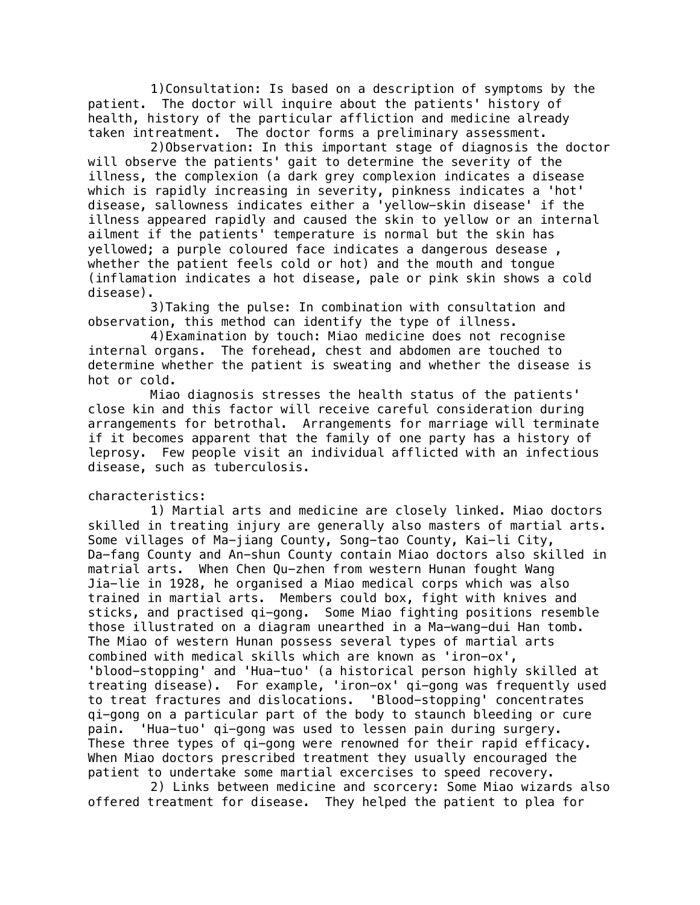1)Consultation: Is based on a description of symptoms by the patient. The doctor will inquire about the patients' history of health, history of the particular affliction and medicine already taken intreatment. The doctor forms a preliminary assessment.

2)Observation: In this important stage of diagnosis the doctor will observe the patients' gait to determine the severity of the illness, the complexion (a dark grey complexion indicates a disease which is rapidly increasing in severity, pinkness indicates a 'hot' disease, sallowness indicates either a 'yellow-skin disease' if the illness appeared rapidly and caused the skin to yellow or an internal ailment if the patients' temperature is normal but the skin has yellowed; a purple coloured face indicates a dangerous desease , whether the patient feels cold or hot) and the mouth and tongue (inflamation indicates a hot disease, pale or pink skin shows a cold disease).

3)Taking the pulse: In combination with consultation and observation, this method can identify the type of illness.

 4)Examination by touch: Miao medicine does not recognise internal organs. The forehead, chest and abdomen are touched to determine whether the patient is sweating and whether the disease is hot or cold.

Miao diagnosis stresses the health status of the patients' close kin and this factor will receive careful consideration during arrangements for betrothal. Arrangements for marriage will terminate if it becomes apparent that the family of one party has a history of leprosy. Few people visit an individual afflicted with an infectious disease, such as tuberculosis.

# characteristics:

1) Martial arts and medicine are closely linked. Miao doctors skilled in treating injury are generally also masters of martial arts. Some villages of Ma-jiang County, Song-tao County, Kai-li City, Da-fang County and An-shun County contain Miao doctors also skilled in matrial arts. When Chen Qu-zhen from western Hunan fought Wang Jia-lie in 1928, he organised a Miao medical corps which was also trained in martial arts. Members could box, fight with knives and sticks, and practised qi-gong. Some Miao fighting positions resemble those illustrated on a diagram unearthed in a Ma-wang-dui Han tomb. The Miao of western Hunan possess several types of martial arts combined with medical skills which are known as 'iron-ox', 'blood-stopping' and 'Hua-tuo' (a historical person highly skilled at treating disease). For example, 'iron-ox' qi-gong was frequently used to treat fractures and dislocations. 'Blood-stopping' concentrates qi-gong on a particular part of the body to staunch bleeding or cure pain. 'Hua-tuo' qi-gong was used to lessen pain during surgery. These three types of qi-gong were renowned for their rapid efficacy. When Miao doctors prescribed treatment they usually encouraged the patient to undertake some martial excercises to speed recovery.

2) Links between medicine and scorcery: Some Miao wizards also offered treatment for disease. They helped the patient to plea for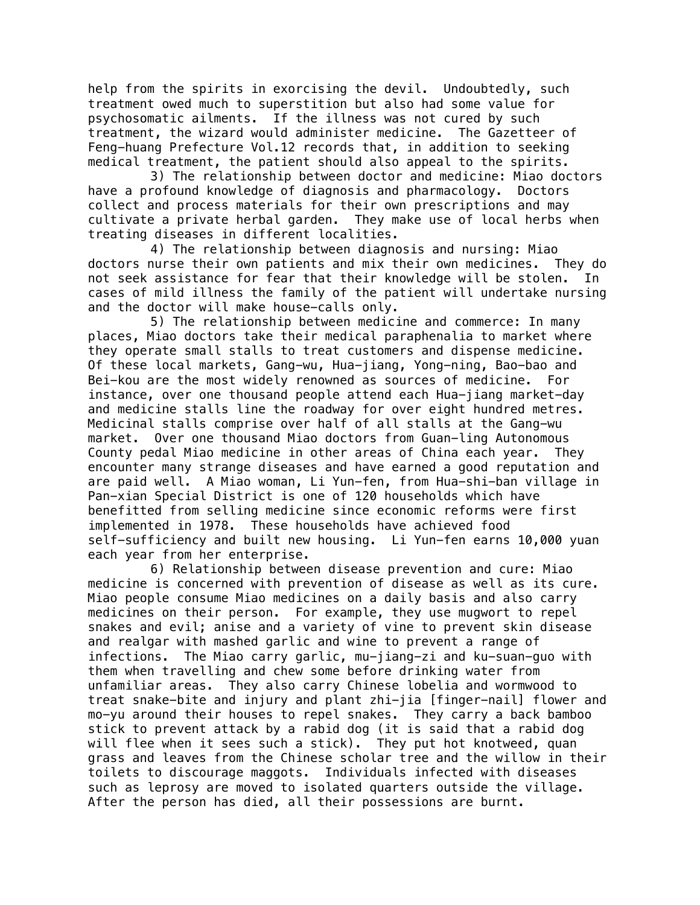help from the spirits in exorcising the devil. Undoubtedly, such treatment owed much to superstition but also had some value for psychosomatic ailments. If the illness was not cured by such treatment, the wizard would administer medicine. The Gazetteer of Feng-huang Prefecture Vol.12 records that, in addition to seeking medical treatment, the patient should also appeal to the spirits.

3) The relationship between doctor and medicine: Miao doctors have a profound knowledge of diagnosis and pharmacology. Doctors collect and process materials for their own prescriptions and may cultivate a private herbal garden. They make use of local herbs when treating diseases in different localities.

4) The relationship between diagnosis and nursing: Miao doctors nurse their own patients and mix their own medicines. They do not seek assistance for fear that their knowledge will be stolen. In cases of mild illness the family of the patient will undertake nursing and the doctor will make house-calls only.

5) The relationship between medicine and commerce: In many places, Miao doctors take their medical paraphenalia to market where they operate small stalls to treat customers and dispense medicine. Of these local markets, Gang-wu, Hua-jiang, Yong-ning, Bao-bao and Bei-kou are the most widely renowned as sources of medicine. For instance, over one thousand people attend each Hua-jiang market-day and medicine stalls line the roadway for over eight hundred metres. Medicinal stalls comprise over half of all stalls at the Gang-wu market. Over one thousand Miao doctors from Guan-ling Autonomous County pedal Miao medicine in other areas of China each year. They encounter many strange diseases and have earned a good reputation and are paid well. A Miao woman, Li Yun-fen, from Hua-shi-ban village in Pan-xian Special District is one of 120 households which have benefitted from selling medicine since economic reforms were first implemented in 1978. These households have achieved food self-sufficiency and built new housing. Li Yun-fen earns 10,000 yuan each year from her enterprise.

6) Relationship between disease prevention and cure: Miao medicine is concerned with prevention of disease as well as its cure. Miao people consume Miao medicines on a daily basis and also carry medicines on their person. For example, they use mugwort to repel snakes and evil; anise and a variety of vine to prevent skin disease and realgar with mashed garlic and wine to prevent a range of infections. The Miao carry garlic, mu-jiang-zi and ku-suan-guo with them when travelling and chew some before drinking water from unfamiliar areas. They also carry Chinese lobelia and wormwood to treat snake-bite and injury and plant zhi-jia [finger-nail] flower and mo-yu around their houses to repel snakes. They carry a back bamboo stick to prevent attack by a rabid dog (it is said that a rabid dog will flee when it sees such a stick). They put hot knotweed, quan grass and leaves from the Chinese scholar tree and the willow in their toilets to discourage maggots. Individuals infected with diseases such as leprosy are moved to isolated quarters outside the village. After the person has died, all their possessions are burnt.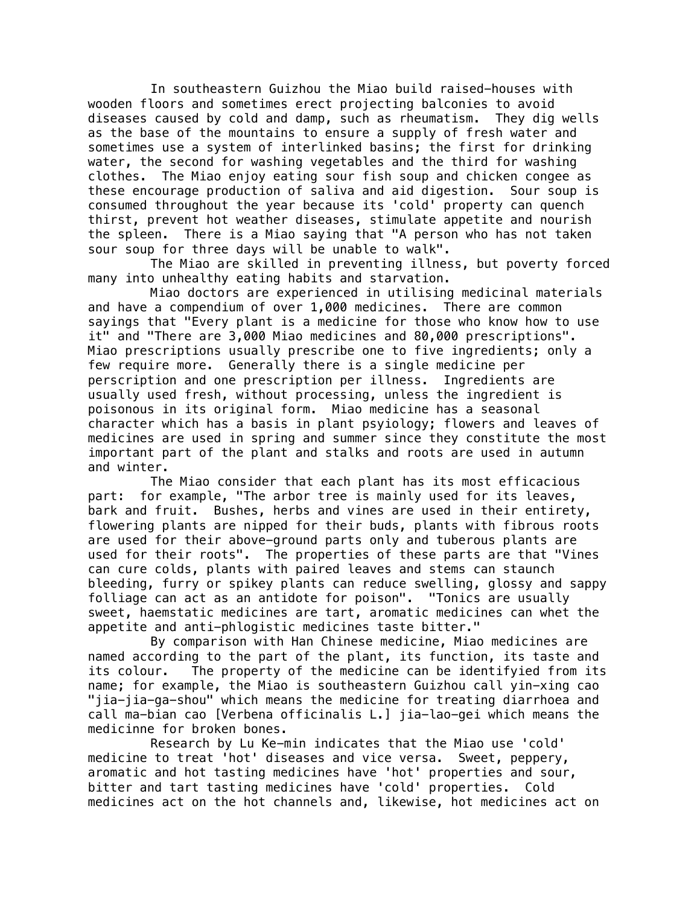In southeastern Guizhou the Miao build raised-houses with wooden floors and sometimes erect projecting balconies to avoid diseases caused by cold and damp, such as rheumatism. They dig wells as the base of the mountains to ensure a supply of fresh water and sometimes use a system of interlinked basins; the first for drinking water, the second for washing vegetables and the third for washing clothes. The Miao enjoy eating sour fish soup and chicken congee as these encourage production of saliva and aid digestion. Sour soup is consumed throughout the year because its 'cold' property can quench thirst, prevent hot weather diseases, stimulate appetite and nourish the spleen. There is a Miao saying that "A person who has not taken sour soup for three days will be unable to walk".

The Miao are skilled in preventing illness, but poverty forced many into unhealthy eating habits and starvation.

Miao doctors are experienced in utilising medicinal materials and have a compendium of over 1,000 medicines. There are common sayings that "Every plant is a medicine for those who know how to use it" and "There are 3,000 Miao medicines and 80,000 prescriptions". Miao prescriptions usually prescribe one to five ingredients; only a few require more. Generally there is a single medicine per perscription and one prescription per illness. Ingredients are usually used fresh, without processing, unless the ingredient is poisonous in its original form. Miao medicine has a seasonal character which has a basis in plant psyiology; flowers and leaves of medicines are used in spring and summer since they constitute the most important part of the plant and stalks and roots are used in autumn and winter.

The Miao consider that each plant has its most efficacious part: for example, "The arbor tree is mainly used for its leaves, bark and fruit. Bushes, herbs and vines are used in their entirety, flowering plants are nipped for their buds, plants with fibrous roots are used for their above-ground parts only and tuberous plants are used for their roots". The properties of these parts are that "Vines can cure colds, plants with paired leaves and stems can staunch bleeding, furry or spikey plants can reduce swelling, glossy and sappy folliage can act as an antidote for poison". "Tonics are usually sweet, haemstatic medicines are tart, aromatic medicines can whet the appetite and anti-phlogistic medicines taste bitter."

By comparison with Han Chinese medicine, Miao medicines are named according to the part of the plant, its function, its taste and its colour. The property of the medicine can be identifyied from its name; for example, the Miao is southeastern Guizhou call yin-xing cao "jia-jia-ga-shou" which means the medicine for treating diarrhoea and call ma-bian cao [Verbena officinalis L.] jia-lao-gei which means the medicinne for broken bones.

Research by Lu Ke-min indicates that the Miao use 'cold' medicine to treat 'hot' diseases and vice versa. Sweet, peppery, aromatic and hot tasting medicines have 'hot' properties and sour, bitter and tart tasting medicines have 'cold' properties. Cold medicines act on the hot channels and, likewise, hot medicines act on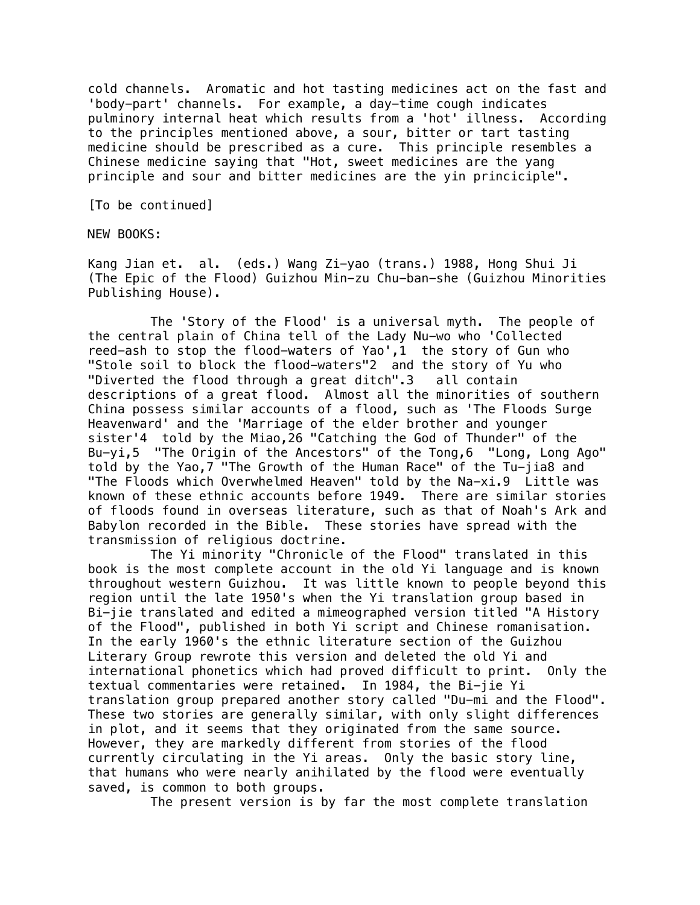cold channels. Aromatic and hot tasting medicines act on the fast and 'body-part' channels. For example, a day-time cough indicates pulminory internal heat which results from a 'hot' illness. According to the principles mentioned above, a sour, bitter or tart tasting medicine should be prescribed as a cure. This principle resembles a Chinese medicine saying that "Hot, sweet medicines are the yang principle and sour and bitter medicines are the yin princiciple".

[To be continued]

NEW BOOKS:

Kang Jian et. al. (eds.) Wang Zi-yao (trans.) 1988, Hong Shui Ji (The Epic of the Flood) Guizhou Min-zu Chu-ban-she (Guizhou Minorities Publishing House).

The 'Story of the Flood' is a universal myth. The people of the central plain of China tell of the Lady Nu-wo who 'Collected reed-ash to stop the flood-waters of Yao',1 the story of Gun who "Stole soil to block the flood-waters"2 and the story of Yu who "Diverted the flood through a great ditch".3 all contain descriptions of a great flood. Almost all the minorities of southern China possess similar accounts of a flood, such as 'The Floods Surge Heavenward' and the 'Marriage of the elder brother and younger sister'4 told by the Miao,26 "Catching the God of Thunder" of the Bu-yi,5 "The Origin of the Ancestors" of the Tong,6 "Long, Long Ago" told by the Yao,7 "The Growth of the Human Race" of the Tu-jia8 and "The Floods which Overwhelmed Heaven" told by the Na-xi.9 Little was known of these ethnic accounts before 1949. There are similar stories of floods found in overseas literature, such as that of Noah's Ark and Babylon recorded in the Bible. These stories have spread with the transmission of religious doctrine.

The Yi minority "Chronicle of the Flood" translated in this book is the most complete account in the old Yi language and is known throughout western Guizhou. It was little known to people beyond this region until the late 1950's when the Yi translation group based in Bi-jie translated and edited a mimeographed version titled "A History of the Flood", published in both Yi script and Chinese romanisation. In the early 1960's the ethnic literature section of the Guizhou Literary Group rewrote this version and deleted the old Yi and international phonetics which had proved difficult to print. Only the textual commentaries were retained. In 1984, the Bi-jie Yi translation group prepared another story called "Du-mi and the Flood". These two stories are generally similar, with only slight differences in plot, and it seems that they originated from the same source. However, they are markedly different from stories of the flood currently circulating in the Yi areas. Only the basic story line, that humans who were nearly anihilated by the flood were eventually saved, is common to both groups.

The present version is by far the most complete translation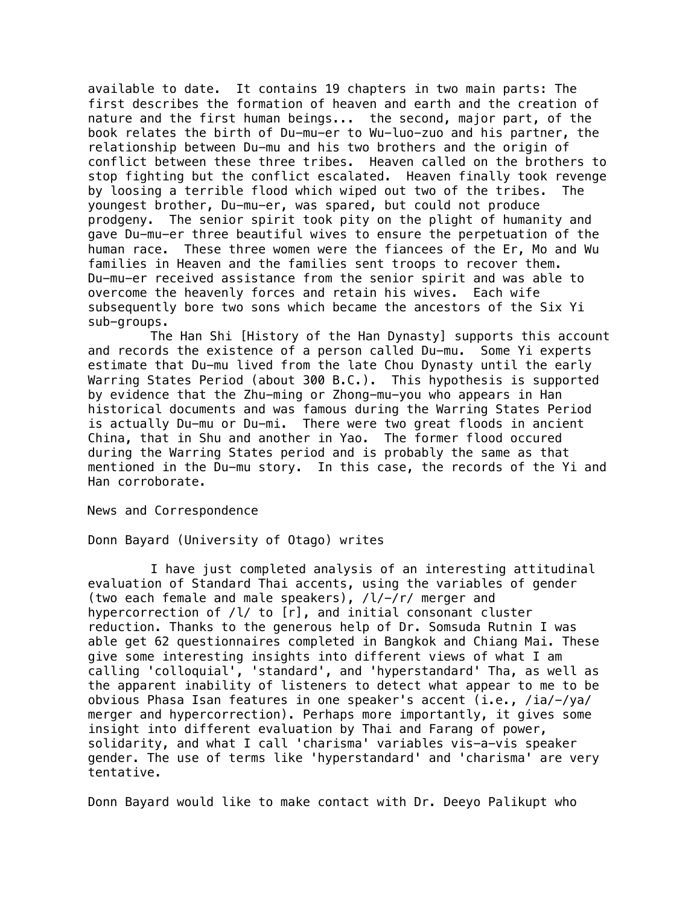available to date. It contains 19 chapters in two main parts: The first describes the formation of heaven and earth and the creation of nature and the first human beings... the second, major part, of the book relates the birth of Du-mu-er to Wu-luo-zuo and his partner, the relationship between Du-mu and his two brothers and the origin of conflict between these three tribes. Heaven called on the brothers to stop fighting but the conflict escalated. Heaven finally took revenge by loosing a terrible flood which wiped out two of the tribes. The youngest brother, Du-mu-er, was spared, but could not produce prodgeny. The senior spirit took pity on the plight of humanity and gave Du-mu-er three beautiful wives to ensure the perpetuation of the human race. These three women were the fiancees of the Er, Mo and Wu families in Heaven and the families sent troops to recover them. Du-mu-er received assistance from the senior spirit and was able to overcome the heavenly forces and retain his wives. Each wife subsequently bore two sons which became the ancestors of the Six Yi sub-groups.

The Han Shi [History of the Han Dynasty] supports this account and records the existence of a person called Du-mu. Some Yi experts estimate that Du-mu lived from the late Chou Dynasty until the early Warring States Period (about 300 B.C.). This hypothesis is supported by evidence that the Zhu-ming or Zhong-mu-you who appears in Han historical documents and was famous during the Warring States Period is actually Du-mu or Du-mi. There were two great floods in ancient China, that in Shu and another in Yao. The former flood occured during the Warring States period and is probably the same as that mentioned in the Du-mu story. In this case, the records of the Yi and Han corroborate.

News and Correspondence

Donn Bayard (University of Otago) writes

I have just completed analysis of an interesting attitudinal evaluation of Standard Thai accents, using the variables of gender (two each female and male speakers), /l/-/r/ merger and hypercorrection of /l/ to [r], and initial consonant cluster reduction. Thanks to the generous help of Dr. Somsuda Rutnin I was able get 62 questionnaires completed in Bangkok and Chiang Mai. These give some interesting insights into different views of what I am calling 'colloquial', 'standard', and 'hyperstandard' Tha, as well as the apparent inability of listeners to detect what appear to me to be obvious Phasa Isan features in one speaker's accent (i.e., /ia/-/ya/ merger and hypercorrection). Perhaps more importantly, it gives some insight into different evaluation by Thai and Farang of power, solidarity, and what I call 'charisma' variables vis-a-vis speaker gender. The use of terms like 'hyperstandard' and 'charisma' are very tentative.

Donn Bayard would like to make contact with Dr. Deeyo Palikupt who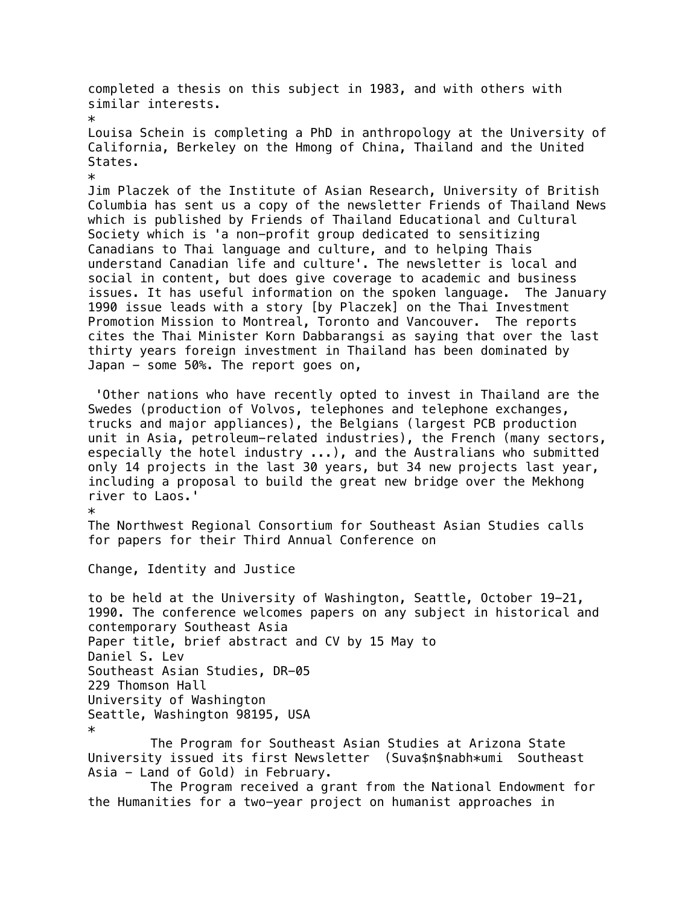completed a thesis on this subject in 1983, and with others with similar interests. \* Louisa Schein is completing a PhD in anthropology at the University of California, Berkeley on the Hmong of China, Thailand and the United States. \* Jim Placzek of the Institute of Asian Research, University of British Columbia has sent us a copy of the newsletter Friends of Thailand News which is published by Friends of Thailand Educational and Cultural Society which is 'a non-profit group dedicated to sensitizing Canadians to Thai language and culture, and to helping Thais understand Canadian life and culture'. The newsletter is local and social in content, but does give coverage to academic and business issues. It has useful information on the spoken language. The January 1990 issue leads with a story [by Placzek] on the Thai Investment Promotion Mission to Montreal, Toronto and Vancouver. The reports cites the Thai Minister Korn Dabbarangsi as saying that over the last thirty years foreign investment in Thailand has been dominated by Japan - some 50%. The report goes on, 'Other nations who have recently opted to invest in Thailand are the Swedes (production of Volvos, telephones and telephone exchanges, trucks and major appliances), the Belgians (largest PCB production unit in Asia, petroleum-related industries), the French (many sectors, especially the hotel industry ...), and the Australians who submitted only 14 projects in the last 30 years, but 34 new projects last year, including a proposal to build the great new bridge over the Mekhong river to Laos.' \* The Northwest Regional Consortium for Southeast Asian Studies calls for papers for their Third Annual Conference on Change, Identity and Justice to be held at the University of Washington, Seattle, October 19-21, 1990. The conference welcomes papers on any subject in historical and contemporary Southeast Asia Paper title, brief abstract and CV by 15 May to Daniel S. Lev Southeast Asian Studies, DR-05 229 Thomson Hall University of Washington Seattle, Washington 98195, USA \* The Program for Southeast Asian Studies at Arizona State University issued its first Newsletter (Suva\$n\$nabh\*umi Southeast Asia - Land of Gold) in February.

The Program received a grant from the National Endowment for the Humanities for a two-year project on humanist approaches in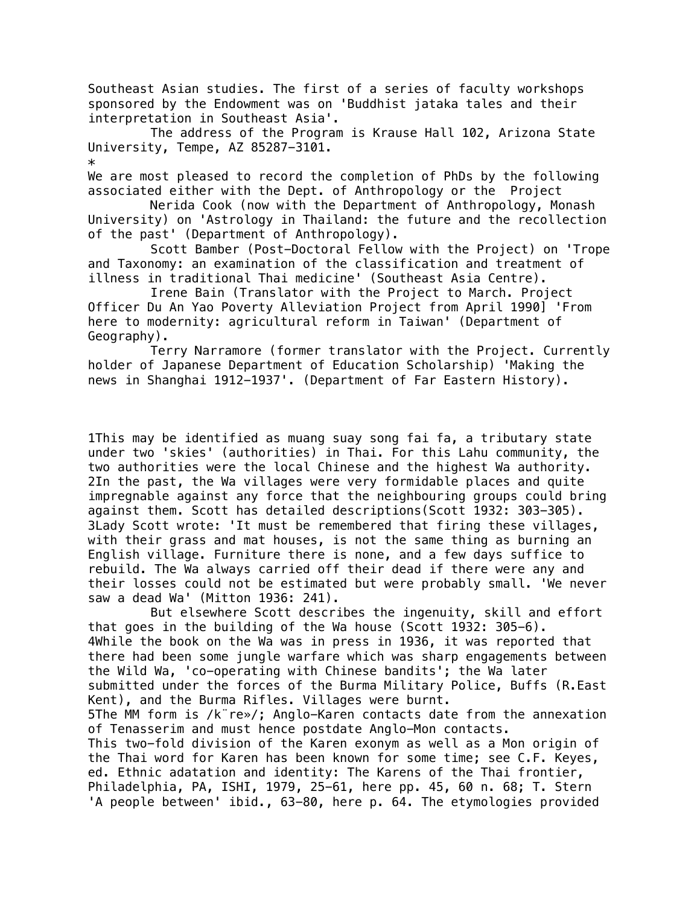Southeast Asian studies. The first of a series of faculty workshops sponsored by the Endowment was on 'Buddhist jataka tales and their interpretation in Southeast Asia'.

The address of the Program is Krause Hall 102, Arizona State University, Tempe, AZ 85287-3101.

 $\ast$ 

We are most pleased to record the completion of PhDs by the following associated either with the Dept. of Anthropology or the Project

Nerida Cook (now with the Department of Anthropology, Monash University) on 'Astrology in Thailand: the future and the recollection of the past' (Department of Anthropology).

Scott Bamber (Post-Doctoral Fellow with the Project) on 'Trope and Taxonomy: an examination of the classification and treatment of illness in traditional Thai medicine' (Southeast Asia Centre).

Irene Bain (Translator with the Project to March. Project Officer Du An Yao Poverty Alleviation Project from April 1990] 'From here to modernity: agricultural reform in Taiwan' (Department of Geography).

Terry Narramore (former translator with the Project. Currently holder of Japanese Department of Education Scholarship) 'Making the news in Shanghai 1912-1937'. (Department of Far Eastern History).

1This may be identified as muang suay song fai fa, a tributary state under two 'skies' (authorities) in Thai. For this Lahu community, the two authorities were the local Chinese and the highest Wa authority. 2In the past, the Wa villages were very formidable places and quite impregnable against any force that the neighbouring groups could bring against them. Scott has detailed descriptions(Scott 1932: 303-305). 3Lady Scott wrote: 'It must be remembered that firing these villages, with their grass and mat houses, is not the same thing as burning an English village. Furniture there is none, and a few days suffice to rebuild. The Wa always carried off their dead if there were any and their losses could not be estimated but were probably small. 'We never saw a dead Wa' (Mitton 1936: 241).

But elsewhere Scott describes the ingenuity, skill and effort that goes in the building of the Wa house (Scott 1932: 305-6). 4While the book on the Wa was in press in 1936, it was reported that there had been some jungle warfare which was sharp engagements between the Wild Wa, 'co-operating with Chinese bandits'; the Wa later submitted under the forces of the Burma Military Police, Buffs (R.East Kent), and the Burma Rifles. Villages were burnt. 5The MM form is /k¨re»/; Anglo-Karen contacts date from the annexation of Tenasserim and must hence postdate Anglo-Mon contacts. This two-fold division of the Karen exonym as well as a Mon origin of the Thai word for Karen has been known for some time; see C.F. Keyes, ed. Ethnic adatation and identity: The Karens of the Thai frontier, Philadelphia, PA, ISHI, 1979, 25-61, here pp. 45, 60 n. 68; T. Stern 'A people between' ibid., 63-80, here p. 64. The etymologies provided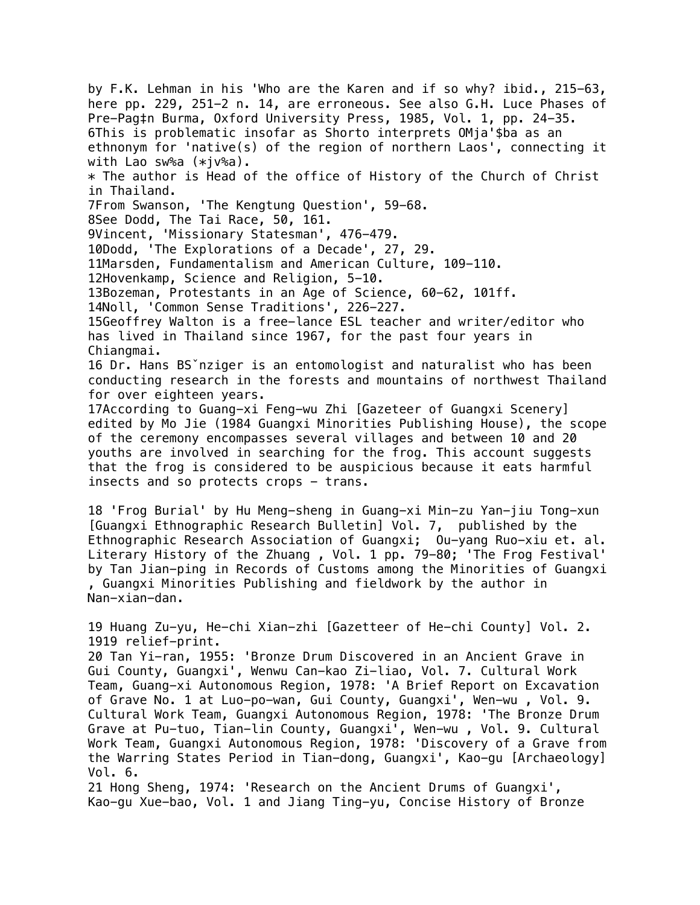by F.K. Lehman in his 'Who are the Karen and if so why? ibid., 215-63, here pp. 229, 251-2 n. 14, are erroneous. See also G.H. Luce Phases of Pre-Pag‡n Burma, Oxford University Press, 1985, Vol. 1, pp. 24-35. 6This is problematic insofar as Shorto interprets OMja'\$ba as an ethnonym for 'native(s) of the region of northern Laos', connecting it with Lao sw%a (\*jv%a).  $*$  The author is Head of the office of History of the Church of Christ in Thailand. 7From Swanson, 'The Kengtung Question', 59-68. 8See Dodd, The Tai Race, 50, 161. 9Vincent, 'Missionary Statesman', 476-479. 10Dodd, 'The Explorations of a Decade', 27, 29. 11Marsden, Fundamentalism and American Culture, 109-110. 12Hovenkamp, Science and Religion, 5-10. 13Bozeman, Protestants in an Age of Science, 60-62, 101ff. 14Noll, 'Common Sense Traditions', 226-227. 15Geoffrey Walton is a free-lance ESL teacher and writer/editor who has lived in Thailand since 1967, for the past four years in Chiangmai. 16 Dr. Hans BSˇnziger is an entomologist and naturalist who has been conducting research in the forests and mountains of northwest Thailand for over eighteen years. 17According to Guang-xi Feng-wu Zhi [Gazeteer of Guangxi Scenery] edited by Mo Jie (1984 Guangxi Minorities Publishing House), the scope of the ceremony encompasses several villages and between 10 and 20 youths are involved in searching for the frog. This account suggests that the frog is considered to be auspicious because it eats harmful insects and so protects crops - trans. 18 'Frog Burial' by Hu Meng-sheng in Guang-xi Min-zu Yan-jiu Tong-xun [Guangxi Ethnographic Research Bulletin] Vol. 7, published by the Ethnographic Research Association of Guangxi; Ou-yang Ruo-xiu et. al. Literary History of the Zhuang , Vol. 1 pp. 79-80; 'The Frog Festival' by Tan Jian-ping in Records of Customs among the Minorities of Guangxi , Guangxi Minorities Publishing and fieldwork by the author in Nan-xian-dan. 19 Huang Zu-yu, He-chi Xian-zhi [Gazetteer of He-chi County] Vol. 2. 1919 relief-print. 20 Tan Yi-ran, 1955: 'Bronze Drum Discovered in an Ancient Grave in Gui County, Guangxi', Wenwu Can-kao Zi-liao, Vol. 7. Cultural Work Team, Guang-xi Autonomous Region, 1978: 'A Brief Report on Excavation of Grave No. 1 at Luo-po-wan, Gui County, Guangxi', Wen-wu , Vol. 9. Cultural Work Team, Guangxi Autonomous Region, 1978: 'The Bronze Drum Grave at Pu-tuo, Tian-lin County, Guangxi', Wen-wu , Vol. 9. Cultural Work Team, Guangxi Autonomous Region, 1978: 'Discovery of a Grave from the Warring States Period in Tian-dong, Guangxi', Kao-gu [Archaeology] Vol. 6. 21 Hong Sheng, 1974: 'Research on the Ancient Drums of Guangxi', Kao-gu Xue-bao, Vol. 1 and Jiang Ting-yu, Concise History of Bronze